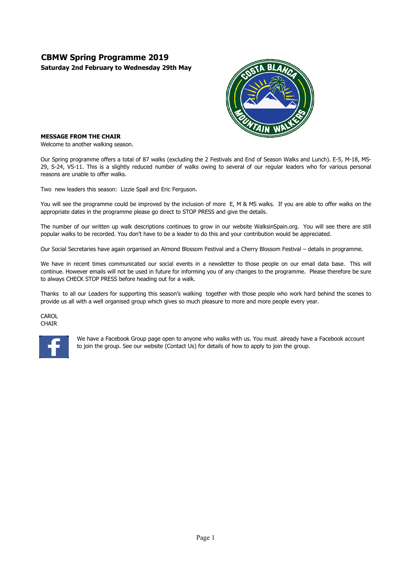# **CBMW Spring Programme 2019**

**Saturday 2nd February to Wednesday 29th May**



#### **MESSAGE FROM THE CHAIR**

Welcome to another walking season.

Our Spring programme offers a total of 87 walks (excluding the 2 Festivals and End of Season Walks and Lunch). E-5, M-18, MS-29, S-24, VS-11. This is a slightly reduced number of walks owing to several of our regular leaders who for various personal reasons are unable to offer walks.

Two new leaders this season: Lizzie Spall and Eric Ferguson.

You will see the programme could be improved by the inclusion of more E, M & MS walks. If you are able to offer walks on the appropriate dates in the programme please go direct to STOP PRESS and give the details.

The number of our written up walk descriptions continues to grow in our website WalksinSpain.org. You will see there are still popular walks to be recorded. You don't have to be a leader to do this and your contribution would be appreciated.

Our Social Secretaries have again organised an Almond Blossom Festival and a Cherry Blossom Festival – details in programme.

We have in recent times communicated our social events in a newsletter to those people on our email data base. This will continue. However emails will not be used in future for informing you of any changes to the programme. Please therefore be sure to always CHECK STOP PRESS before heading out for a walk.

Thanks to all our Leaders for supporting this season's walking together with those people who work hard behind the scenes to provide us all with a well organised group which gives so much pleasure to more and more people every year.

**CAROL** CHAIR



We have a Facebook Group page open to anyone who walks with us. You must already have a Facebook account to join the group. See our website (Contact Us) for details of how to apply to join the group.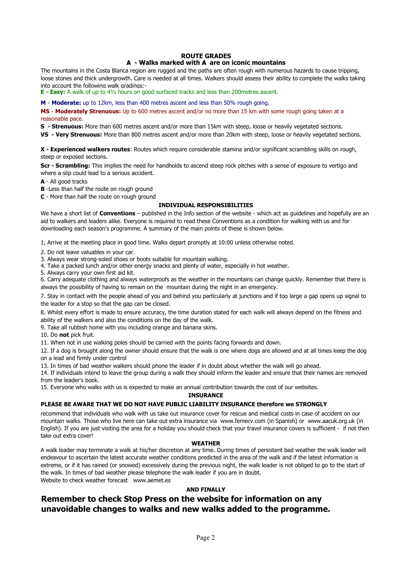#### **ROUTE GRADES**

## **Ѧ - Walks marked with Ѧ are on iconic mountains**

The mountains in the Costa Blanca region are rugged and the paths are often rough with numerous hazards to cause tripping, loose stones and thick undergrowth. Care is needed at all times. Walkers should assess their ability to complete the walks taking into account the following walk gradings:-

**E - Easy:** A walk of up to 4½ hours on good surfaced tracks and less than 200metres ascent.

**M** - **Moderate:** up to 12km, less than 400 metres ascent and less than 50% rough going.

**MS** - **Moderately Strenuous:** Up to 600 metres ascent and/or no more than 15 km with some rough going taken at a reasonable pace.

**S - Strenuous:** More than 600 metres ascent and/or more than 15km with steep, loose or heavily vegetated sections.

**VS - Very Strenuous:** More than 800 metres ascent and/or more than 20km with steep, loose or heavily vegetated sections.

**X - Experienced walkers routes**: Routes which require considerable stamina and/or significant scrambling skills on rough, steep or exposed sections.

**Scr - Scrambling:** This implies the need for handholds to ascend steep rock pitches with a sense of exposure to vertigo and where a slip could lead to a serious accident.

**A** - All good tracks

**B** -Less than half the route on rough ground

**C** - More than half the route on rough ground

#### **INDIVIDUAL RESPONSIBILITIES**

We have a short list of **Conventions** – published in the Info section of the website - which act as guidelines and hopefully are an aid to walkers and leaders alike. Everyone is required to read these Conventions as a condition for walking with us and for downloading each season's programme. A summary of the main points of these is shown below.

1, Arrive at the meeting place in good time. Walks depart promptly at 10:00 unless otherwise noted.

- 2. Do not leave valuables in your car.
- 3. Always wear strong-soled shoes or boots suitable for mountain walking.

4. Take a packed lunch and/or other energy snacks and plenty of water, especially in hot weather.

5. Always carry your own first aid kit.

6. Carry adequate clothing and always waterproofs as the weather in the mountains can change quickly. Remember that there is always the possibility of having to remain on the mountain during the night in an emergency.

7. Stay in contact with the people ahead of you and behind you particularly at junctions and if too large a gap opens up signal to the leader for a stop so that the gap can be closed.

8. Whilst every effort is made to ensure accuracy, the time duration stated for each walk will always depend on the fitness and ability of the walkers and also the conditions on the day of the walk.

9. Take all rubbish home with you including orange and banana skins.

10. Do **not** pick fruit.

11. When not in use walking poles should be carried with the points facing forwards and down.

12. If a dog is brought along the owner should ensure that the walk is one where dogs are allowed and at all times keep the dog on a lead and firmly under control

13. In times of bad weather walkers should phone the leader if in doubt about whether the walk will go ahead.

14. If individuals intend to leave the group during a walk they should inform the leader and ensure that their names are removed from the leader's book.

15. Everyone who walks with us is expected to make an annual contribution towards the cost of our websites.

#### **INSURANCE**

#### **PLEASE BE AWARE THAT WE DO NOT HAVE PUBLIC LIABILITY INSURANCE therefore we STRONGLY**

recommend that individuals who walk with us take out insurance cover for rescue and medical costs in case of accident on our mountain walks. Those who live here can take out extra insurance via www.femecv.com (in Spanish) or www.aacuk.org.uk (in English). If you are just visiting the area for a holiday you should check that your travel insurance covers is sufficient - if not then take out extra cover!

#### **WEATHER**

A walk leader may terminate a walk at his/her discretion at any time. During times of persistent bad weather the walk leader will endeavour to ascertain the latest accurate weather conditions predicted in the area of the walk and if the latest information is extreme, or if it has rained (or snowed) excessively during the previous night, the walk leader is not obliged to go to the start of the walk. In times of bad weather please telephone the walk leader if you are in doubt.

Website to check weather forecast www.aemet.es

### **AND FINALLY**

## **Remember to check Stop Press on the website for information on any unavoidable changes to walks and new walks added to the programme.**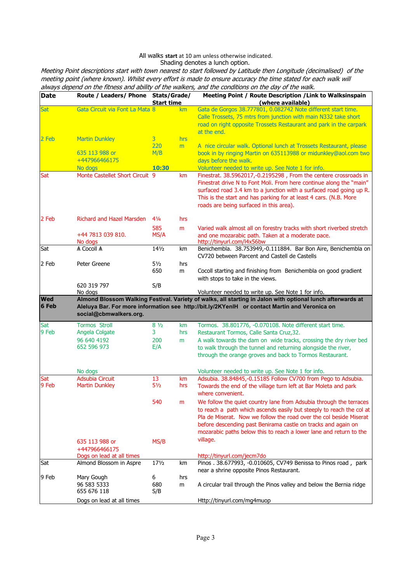#### All walks **start** at 10 am unless otherwise indicated. Shading denotes a lunch option.

Meeting Point descriptions start with town nearest to start followed by Latitude then Longitude (decimalised) of the meeting point (where known). Whilst every effort is made to ensure accuracy the time stated for each walk will always depend on the fitness and ability of the walkers, and the conditions on the day of the walk.

| <b>Date</b> | Route / Leaders/ Phone Stats/Grade/ |                   |     | Meeting Point / Route Description / Link to Walksinspain                                                   |  |
|-------------|-------------------------------------|-------------------|-----|------------------------------------------------------------------------------------------------------------|--|
|             |                                     | <b>Start time</b> |     | (where available)                                                                                          |  |
| Sat         | Gata Circuit via Font La Mata 8     |                   | km  | Gata de Gorgos 38.777801, 0.082742 Note different start time.                                              |  |
|             |                                     |                   |     | Calle Trossets, 75 mtrs from junction with main N332 take short                                            |  |
|             |                                     |                   |     | road on right opposite Trossets Restaurant and park in the carpark                                         |  |
|             |                                     |                   |     | at the end.                                                                                                |  |
| 2 Feb       | <b>Martin Dunkley</b>               | 3 <sup>1</sup>    | hrs |                                                                                                            |  |
|             |                                     | 220               | m   | A nice circular walk. Optional lunch at Trossets Restaurant, please                                        |  |
|             | 635 113 988 or                      | M/B               |     | book in by ringing Martin on 635113988 or midunkley@aol.com two                                            |  |
|             | +447966466175                       |                   |     | days before the walk.                                                                                      |  |
|             | No dogs                             | 10:30             |     | Volunteer needed to write up. See Note 1 for info.                                                         |  |
| Sat         | Monte Castellet Short Circuit 9     |                   | km  | Finestrat. 38.5962017,-0.2195298, From the centere crossroads in                                           |  |
|             |                                     |                   |     | Finestrat drive N to Font Moli. From here continue along the "main"                                        |  |
|             |                                     |                   |     | surfaced road 3.4 km to a junction with a surfaced road going up R.                                        |  |
|             |                                     |                   |     | This is the start and has parking for at least 4 cars. (N.B. More                                          |  |
|             |                                     |                   |     | roads are being surfaced in this area).                                                                    |  |
| 2 Feb       | Richard and Hazel Marsden           | $4\frac{1}{4}$    | hrs |                                                                                                            |  |
|             |                                     | 585               | m   | Varied walk almost all on forestry tracks with short riverbed stretch                                      |  |
|             | +44 7813 039 810.                   | MS/A              |     | and one mozarabic path. Taken at a moderate pace.                                                          |  |
|             | No dogs                             |                   |     | http://tinyurl.com/l4x56bw                                                                                 |  |
| Sat         | A Cocoll A                          | $14\frac{1}{2}$   | km  | Benichembla. 38.753949,-0.111884. Bar Bon Aire, Benichembla on                                             |  |
|             |                                     |                   |     | CV720 between Parcent and Castell de Castells                                                              |  |
| 2 Feb       | Peter Greene                        | $5\frac{1}{2}$    | hrs |                                                                                                            |  |
|             |                                     | 650               | m   | Cocoll starting and finishing from Benichembla on good gradient                                            |  |
|             |                                     |                   |     | with stops to take in the views.                                                                           |  |
|             | 620 319 797                         | S/B               |     |                                                                                                            |  |
|             | No dogs                             |                   |     | Volunteer needed to write up. See Note 1 for info.                                                         |  |
| <b>Wed</b>  |                                     |                   |     | Almond Blossom Walking Festival. Variety of walks, all starting in Jalon with optional lunch afterwards at |  |
| 6 Feb       |                                     |                   |     | Aleluya Bar. For more information see http://bit.ly/2KYenlH or contact Martin and Veronica on              |  |
|             | social@cbmwalkers.org.              |                   |     |                                                                                                            |  |
| Sat         | <b>Tormos Stroll</b>                | $8\frac{1}{2}$    | km  | Tormos. 38.801776, -0.070108. Note different start time.                                                   |  |
| 9 Feb       | Angela Colgate                      | 3                 | hrs | Restaurant Tormos, Calle Santa Cruz, 32.                                                                   |  |
|             | 96 640 4192                         | 200               | m   | A walk towards the dam on wide tracks, crossing the dry river bed                                          |  |
|             | 652 596 973                         | E/A               |     | to walk through the tunnel and returning alongside the river,                                              |  |
|             |                                     |                   |     | through the orange groves and back to Tormos Restaurant.                                                   |  |
|             |                                     |                   |     |                                                                                                            |  |
|             | No dogs                             |                   |     | Volunteer needed to write up. See Note 1 for info.                                                         |  |
| Sat         | <b>Adsubia Circuit</b>              | 13                | km  | Adsubia. 38.84845,-0.15185 Follow CV700 from Pego to Adsubia.                                              |  |
| 9 Feb       | <b>Martin Dunkley</b>               | $5\frac{1}{2}$    | hrs | Towards the end of the village turn left at Bar Moleta and park                                            |  |
|             |                                     |                   |     | where convenient.                                                                                          |  |
|             |                                     | 540               | m   | We follow the quiet country lane from Adsubia through the terraces                                         |  |
|             |                                     |                   |     | to reach a path which ascends easily but steeply to reach the col at                                       |  |
|             |                                     |                   |     | Pla de Miserat. Now we follow the road over the col beside Miserat                                         |  |
|             |                                     |                   |     | before descending past Benirama castle on tracks and again on                                              |  |
|             |                                     |                   |     | mozarabic paths below this to reach a lower lane and return to the                                         |  |
|             |                                     |                   |     | village.                                                                                                   |  |
|             | 635 113 988 or                      | MS/B              |     |                                                                                                            |  |
|             | +447966466175                       |                   |     |                                                                                                            |  |
|             | Dogs on lead at all times           |                   |     | http://tinyurl.com/jecm7do                                                                                 |  |
| Sat         | Almond Blossom in Aspre             | $17\frac{1}{2}$   | km  | Pinos . 38.677993, -0.010605, CV749 Benissa to Pinos road, park                                            |  |
|             |                                     |                   |     | near a shrine opposite Pinos Restaurant.                                                                   |  |
| 9 Feb       | Mary Gough                          | 6                 | hrs |                                                                                                            |  |
|             | 96 583 5333<br>655 676 118          | 680               | m   | A circular trail through the Pinos valley and below the Bernia ridge                                       |  |
|             |                                     | S/B               |     |                                                                                                            |  |
|             | Dogs on lead at all times           |                   |     | Http://tinyurl.com/mg4muop                                                                                 |  |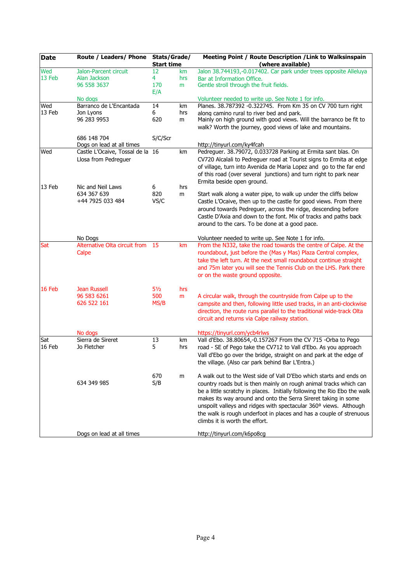| <b>Date</b> | Route / Leaders/ Phone           | Stats/Grade/      |     | Meeting Point / Route Description / Link to Walksinspain                 |
|-------------|----------------------------------|-------------------|-----|--------------------------------------------------------------------------|
|             |                                  | <b>Start time</b> |     | (where available)                                                        |
| Wed         | Jalon-Parcent circuit            | 12                | km  | Jalon 38.744193,-0.017402. Car park under trees opposite Alleluya        |
| 13 Feb      | Alan Jackson                     | 4                 | hrs | Bar at Information Office.                                               |
|             | 96 558 3637                      | 170               | m   | Gentle stroll through the fruit fields.                                  |
|             | No dogs                          | E/A               |     | Volunteer needed to write up. See Note 1 for info.                       |
| Wed         | Barranco de L'Encantada          | 14                | km  | Planes. 38.787392 -0.322745. From Km 35 on CV 700 turn right             |
| 13 Feb      | Jon Lyons                        | 6                 | hrs | along camino rural to river bed and park.                                |
|             | 96 283 9953                      | 620               | m   | Mainly on high ground with good views. Will the barranco be fit to       |
|             |                                  |                   |     | walk? Worth the journey, good views of lake and mountains.               |
|             | 686 148 704                      |                   |     |                                                                          |
|             | Dogs on lead at all times        | S/C/Scr           |     | http://tinyurl.com/ky4fcah                                               |
| Wed         | Castle L'Ocaive, Tossal de la 16 |                   | km  | Pedreguer. 38.79072, 0.033728 Parking at Ermita sant blas. On            |
|             | Llosa from Pedreguer             |                   |     | CV720 Alcalali to Pedreguer road at Tourist signs to Ermita at edge      |
|             |                                  |                   |     | of village, turn into Avenida de Maria Lopez and go to the far end       |
|             |                                  |                   |     | of this road (over several junctions) and turn right to park near        |
|             |                                  |                   |     | Ermita beside open ground.                                               |
| 13 Feb      | Nic and Neil Laws                | 6                 | hrs |                                                                          |
|             | 634 367 639                      | 820               | m   | Start walk along a water pipe, to walk up under the cliffs below         |
|             | +44 7925 033 484                 | VS/C              |     | Castle L'Ocaive, then up to the castle for good views. From there        |
|             |                                  |                   |     | around towards Pedreguer, across the ridge, descending before            |
|             |                                  |                   |     | Castle D'Axia and down to the font. Mix of tracks and paths back         |
|             |                                  |                   |     | around to the cars. To be done at a good pace.                           |
|             | No Dogs                          |                   |     | Volunteer needed to write up. See Note 1 for info.                       |
| Sat         | Alternative Olta circuit from    | -15               | km  | From the N332, take the road towards the centre of Calpe. At the         |
|             | Calpe                            |                   |     | roundabout, just before the (Mas y Mas) Plaza Central complex,           |
|             |                                  |                   |     | take the left turn. At the next small roundabout continue straight       |
|             |                                  |                   |     | and 75m later you will see the Tennis Club on the LHS. Park there        |
|             |                                  |                   |     | or on the waste ground opposite.                                         |
|             |                                  |                   |     |                                                                          |
| $16$ Feb    | <b>Jean Russell</b>              | $5\frac{1}{2}$    | hrs |                                                                          |
|             | 96 583 6261                      | 500               | m   | A circular walk, through the countryside from Calpe up to the            |
|             | 626 522 161                      | MS/B              |     | campsite and then, following little used tracks, in an anti-clockwise    |
|             |                                  |                   |     | direction, the route runs parallel to the traditional wide-track Olta    |
|             |                                  |                   |     | circuit and returns via Calpe railway station.                           |
|             | No dogs                          |                   |     | https://tinyurl.com/ycb4rlws                                             |
| Sat         | Sierra de Sireret                | 13                | km  | Vall d'Ebo. 38.80654,-0.157267 From the CV 715 -Orba to Pego             |
| 16 Feb      | Jo Fletcher                      | 5                 | hrs | road - SE of Pego take the CV712 to Vall d'Ebo. As you approach          |
|             |                                  |                   |     | Vall d'Ebo go over the bridge, straight on and park at the edge of       |
|             |                                  |                   |     | the village. (Also car park behind Bar L'Entra.)                         |
|             |                                  |                   |     |                                                                          |
|             |                                  | 670               | m   | A walk out to the West side of Vall D'Ebo which starts and ends on       |
|             | 634 349 985                      | S/B               |     | country roads but is then mainly on rough animal tracks which can        |
|             |                                  |                   |     | be a little scratchy in places. Initially following the Rio Ebo the walk |
|             |                                  |                   |     | makes its way around and onto the Serra Sireret taking in some           |
|             |                                  |                   |     | unspoilt valleys and ridges with spectacular 360° views. Although        |
|             |                                  |                   |     | the walk is rough underfoot in places and has a couple of strenuous      |
|             |                                  |                   |     | climbs it is worth the effort.                                           |
|             | Dogs on lead at all times        |                   |     | http://tinyurl.com/k6po8cg                                               |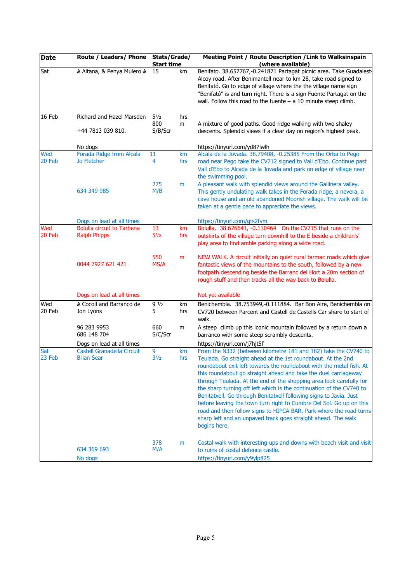| <b>Date</b>   | Route / Leaders/ Phone Stats/Grade/             | <b>Start time</b>     |           | Meeting Point / Route Description / Link to Walksinspain<br>(where available)                                                                                                                                                                                                                                                                                                                                                                                                                                                                                                                                                                                                                                                |
|---------------|-------------------------------------------------|-----------------------|-----------|------------------------------------------------------------------------------------------------------------------------------------------------------------------------------------------------------------------------------------------------------------------------------------------------------------------------------------------------------------------------------------------------------------------------------------------------------------------------------------------------------------------------------------------------------------------------------------------------------------------------------------------------------------------------------------------------------------------------------|
| Sat           | A Aitana, & Penya Mulero A 15                   |                       | km        | Benifato. 38.657767,-0.241871 Partagat picnic area. Take Guadalest-<br>Alcoy road. After Benimantell near to km 28, take road signed to<br>Benifató. Go to edge of village where the the village name sign<br>"Benifató" is and turn right. There is a sign Fuente Partagat on the<br>wall. Follow this road to the fuente $- a 10$ minute steep climb.                                                                                                                                                                                                                                                                                                                                                                      |
| 16 Feb        | Richard and Hazel Marsden                       | $5\frac{1}{2}$<br>800 | hrs<br>m  | A mixture of good paths. Good ridge walking with two shaley                                                                                                                                                                                                                                                                                                                                                                                                                                                                                                                                                                                                                                                                  |
|               | +44 7813 039 810.                               | S/B/Scr               |           | descents. Splendid views if a clear day on region's highest peak.                                                                                                                                                                                                                                                                                                                                                                                                                                                                                                                                                                                                                                                            |
|               | No dogs                                         |                       |           | https://tinyurl.com/yd87lwlh                                                                                                                                                                                                                                                                                                                                                                                                                                                                                                                                                                                                                                                                                                 |
| Wed<br>20 Feb | Forada Ridge from Alcala<br><b>Jo Fletcher</b>  | 11<br>4               | km<br>hrs | Alcala de la Jovada. 38.79408, -0.25385 From the Orba to Pego<br>road near Pego take the CV712 signed to Vall d'Ebo. Continue past<br>Vall d'Ebo to Alcada de la Jovada and park on edge of village near<br>the swimming pool.                                                                                                                                                                                                                                                                                                                                                                                                                                                                                               |
|               | 634 349 985                                     | 275<br>M/B            | m         | A pleasant walk with splendid views around the Gallinera valley.<br>This gently undulating walk takes in the Forada ridge, a nevera, a<br>cave house and an old abandoned Moorish village. The walk will be<br>taken at a gentle pace to appreciate the views.                                                                                                                                                                                                                                                                                                                                                                                                                                                               |
|               | Dogs on lead at all times                       |                       |           | https://tinyurl.com/gts2fvm                                                                                                                                                                                                                                                                                                                                                                                                                                                                                                                                                                                                                                                                                                  |
| Wed           | <b>Bolulla circuit to Tarbena</b>               | 13                    | km        | Bolulla. 38.676641, -0.110464 On the CV715 that runs on the                                                                                                                                                                                                                                                                                                                                                                                                                                                                                                                                                                                                                                                                  |
| 20 Feb        | <b>Ralph Phipps</b>                             | $5\frac{1}{2}$        | hrs       | outskirts of the village turn downhill to the E beside a children's'<br>play area to find amble parking along a wide road.                                                                                                                                                                                                                                                                                                                                                                                                                                                                                                                                                                                                   |
|               | 0044 7927 621 421                               | 550<br>MS/A           | m         | NEW WALK. A circuit initially on quiet rural tarmac roads which give<br>fantastic views of the mountains to the south, followed by a new<br>footpath descending beside the Barranc del Hort a 20m section of<br>rough stuff and then tracks all the way back to Bolulla.                                                                                                                                                                                                                                                                                                                                                                                                                                                     |
|               | Dogs on lead at all times                       |                       |           | Not yet available                                                                                                                                                                                                                                                                                                                                                                                                                                                                                                                                                                                                                                                                                                            |
| Wed<br>20 Feb | A Cocoll and Barranco de<br>Jon Lyons           | 91/2<br>5             | km<br>hrs | Benichembla. 38.753949,-0.111884. Bar Bon Aire, Benichembla on<br>CV720 between Parcent and Castell de Castells Car share to start of<br>walk.                                                                                                                                                                                                                                                                                                                                                                                                                                                                                                                                                                               |
|               | 96 283 9953<br>686 148 704                      | 660<br>S/C/Scr        | m         | A steep climb up this iconic mountain followed by a return down a<br>barranco with some steep scrambly descents.                                                                                                                                                                                                                                                                                                                                                                                                                                                                                                                                                                                                             |
|               | Dogs on lead at all times                       |                       |           | https://tinyurl.com/j7hjt5f                                                                                                                                                                                                                                                                                                                                                                                                                                                                                                                                                                                                                                                                                                  |
| Sat<br>23 Feb | Castell Granadella Circuit<br><b>Brian Sear</b> | 9<br>$3\frac{1}{2}$   | km<br>hrs | From the N332 (between kilometre 181 and 182) take the CV740 to<br>Teulada. Go straight ahead at the 1st roundabout. At the 2nd<br>roundabout exit left towards the roundabout with the metal fish. At<br>this roundabout go straight ahead and take the duel carriageway<br>through Teulada. At the end of the shopping area look carefully for<br>the sharp turning off left which is the continuation of the CV740 to<br>Benitatxell. Go through Benitatxell following signs to Javia. Just<br>before leaving the town turn right to Cumbre Del Sol. Go up on this<br>road and then follow signs to HIPCA BAR. Park where the road turns<br>sharp left and an unpaved track goes straight ahead. The walk<br>begins here. |
|               | 634 369 693<br>No dogs                          | 378<br>M/A            | m         | Costal walk with interesting ups and downs with beach visit and visit<br>to ruins of costal defence castle.<br>https://tinyurl.com/y9ylp825                                                                                                                                                                                                                                                                                                                                                                                                                                                                                                                                                                                  |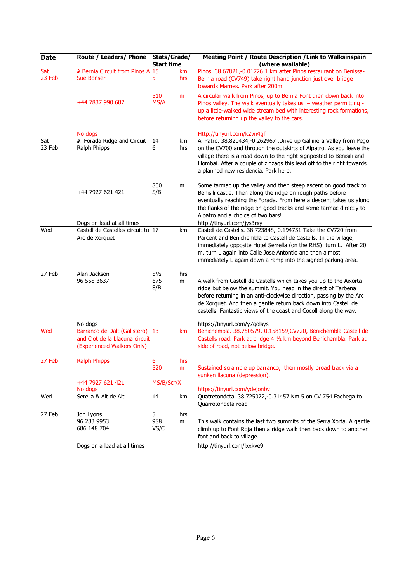| <b>Date</b>   | Route / Leaders/ Phone Stats/Grade/                                                             | <b>Start time</b>            |           | Meeting Point / Route Description / Link to Walksinspain<br>(where available)                                                                                                                                                                                                                                                                   |
|---------------|-------------------------------------------------------------------------------------------------|------------------------------|-----------|-------------------------------------------------------------------------------------------------------------------------------------------------------------------------------------------------------------------------------------------------------------------------------------------------------------------------------------------------|
| Sat           | A Bernia Circuit from Pinos A 15                                                                |                              | km        | Pinos. 38.67821,-0.01726 1 km after Pinos restaurant on Benissa-                                                                                                                                                                                                                                                                                |
| 23 Feb        | <b>Sue Bonser</b>                                                                               | 5                            | hrs       | Bernia road (CV749) take right hand junction just over bridge<br>towards Marnes, Park after 200m.                                                                                                                                                                                                                                               |
|               | +44 7837 990 687                                                                                | 510<br>MS/A                  | m         | A circular walk from Pinos, up to Bernia Font then down back into<br>Pinos valley. The walk eventually takes us $-$ weather permitting -<br>up a little-walked wide stream bed with interesting rock formations,<br>before returning up the valley to the cars.                                                                                 |
|               | No dogs                                                                                         |                              |           | Http://tinyurl.com/k2vn4gf                                                                                                                                                                                                                                                                                                                      |
| Sat<br>23 Feb | A Forada Ridge and Circuit<br>Ralph Phipps                                                      | 14<br>6                      | km<br>hrs | Al Patro. 38.820434,-0.262967 .Drive up Gallinera Valley from Pego<br>on the CV700 and through the outskirts of Alpatro. As you leave the<br>village there is a road down to the right signposted to Benisili and<br>Llombai. After a couple of zigzags this lead off to the right towards<br>a planned new residencia. Park here.              |
|               | +44 7927 621 421                                                                                | 800<br>S/B                   | m         | Some tarmac up the valley and then steep ascent on good track to<br>Benisili castle. Then along the ridge on rough paths before<br>eventually reaching the Forada. From here a descent takes us along<br>the flanks of the ridge on good tracks and some tarmac directly to<br>Alpatro and a choice of two bars!                                |
|               | Dogs on lead at all times                                                                       |                              |           | http://tinyurl.com/jys3rxy                                                                                                                                                                                                                                                                                                                      |
| Wed           | Castell de Castelles circuit to 17<br>Arc de Xorquet                                            |                              | km        | Castell de Castells. 38.723848,-0.194751 Take the CV720 from<br>Parcent and Benichembla to Castell de Castells. In the village,<br>immediately opposite Hotel Serrella (on the RHS) turn L. After 20<br>m. turn L again into Calle Jose Antontio and then almost<br>immediately L again down a ramp into the signed parking area.               |
| 27 Feb        | Alan Jackson<br>96 558 3637                                                                     | $5\frac{1}{2}$<br>675<br>S/B | hrs<br>m  | A walk from Castell de Castells which takes you up to the Aixorta<br>ridge but below the summit. You head in the direct of Tarbena<br>before returning in an anti-clockwise direction, passing by the Arc<br>de Xorquet. And then a gentle return back down into Castell de<br>castells. Fantastic views of the coast and Cocoll along the way. |
|               | No dogs                                                                                         |                              |           | https://tinyurl.com/y7qolsys                                                                                                                                                                                                                                                                                                                    |
| Wed           | Barranco de Dalt (Galistero) 13<br>and Clot de la Llacuna circuit<br>(Experienced Walkers Only) |                              | km        | Benichembla. 38.750579,-0.158159,CV720, Benichembla-Castell de<br>Castells road. Park at bridge 4 1/2 km beyond Benichembla. Park at<br>side of road, not below bridge.                                                                                                                                                                         |
| 27 Feb        | <b>Ralph Phipps</b>                                                                             | 6<br>520                     | hrs<br>m  | Sustained scramble up barranco, then mostly broad track via a<br>sunken llacuna (depression).                                                                                                                                                                                                                                                   |
|               | +44 7927 621 421                                                                                | MS/B/Scr/X                   |           |                                                                                                                                                                                                                                                                                                                                                 |
|               | No dogs                                                                                         |                              |           | https://tinyurl.com/ydejonbv                                                                                                                                                                                                                                                                                                                    |
| Wed           | Serella & Alt de Alt                                                                            | 14                           | km        | Quatretondeta. 38.725072,-0.31457 Km 5 on CV 754 Fachega to<br>Quarrotondeta road                                                                                                                                                                                                                                                               |
| 27 Feb        | Jon Lyons                                                                                       | 5                            | hrs       |                                                                                                                                                                                                                                                                                                                                                 |
|               | 96 283 9953<br>686 148 704                                                                      | 988<br>VS/C                  | m         | This walk contains the last two summits of the Serra Xorta. A gentle<br>climb up to Font Roja then a ridge walk then back down to another<br>font and back to village.                                                                                                                                                                          |
|               | Dogs on a lead at all times                                                                     |                              |           | http://tinyurl.com/lxxkve9                                                                                                                                                                                                                                                                                                                      |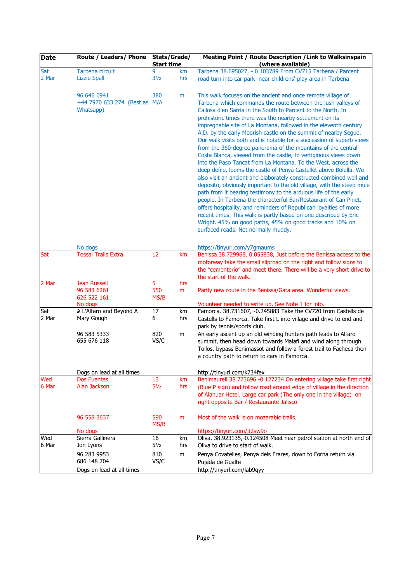| <b>Date</b> | Route / Leaders/ Phone Stats/Grade/                        | <b>Start time</b> |     | Meeting Point / Route Description / Link to Walksinspain<br>(where available)                                                                                                                                                                                                                                                                                                                                                                                                                                                                                                                                                                                                                                                                                                                                                                                                                                                                                                                                                                                                                                                                                                                                                                                                       |  |
|-------------|------------------------------------------------------------|-------------------|-----|-------------------------------------------------------------------------------------------------------------------------------------------------------------------------------------------------------------------------------------------------------------------------------------------------------------------------------------------------------------------------------------------------------------------------------------------------------------------------------------------------------------------------------------------------------------------------------------------------------------------------------------------------------------------------------------------------------------------------------------------------------------------------------------------------------------------------------------------------------------------------------------------------------------------------------------------------------------------------------------------------------------------------------------------------------------------------------------------------------------------------------------------------------------------------------------------------------------------------------------------------------------------------------------|--|
| Sat         | Tarbena circuit                                            | 9                 | km  | Tarbena 38.695027, - 0.103789 From CV715 Tarbena / Parcent                                                                                                                                                                                                                                                                                                                                                                                                                                                                                                                                                                                                                                                                                                                                                                                                                                                                                                                                                                                                                                                                                                                                                                                                                          |  |
| 2 Mar       | <b>Lizzie Spall</b>                                        | 3 <sub>2</sub>    | hrs | road turn into car park near childrens' play area in Tarbena                                                                                                                                                                                                                                                                                                                                                                                                                                                                                                                                                                                                                                                                                                                                                                                                                                                                                                                                                                                                                                                                                                                                                                                                                        |  |
|             | 96 646 0941<br>+44 7970 633 274. (Best as M/A<br>Whatsapp) | 380               | m   | This walk focuses on the ancient and once remote village of<br>Tarbena which commands the route between the lush valleys of<br>Callosa d'en Sarria in the South to Parcent to the North. In<br>prehistoric times there was the nearby settlement on its<br>impregnable site of La Montana, followed in the eleventh century<br>A.D. by the early Moorish castle on the summit of nearby Segue.<br>Our walk visits both and is notable for a succession of superb views<br>from the 360-degree panorama of the mountains of the central<br>Costa Blanca, viewed from the castle, to vertiginous views down<br>into the Paso Tancat from La Montana. To the West, across the<br>deep defile, looms the castle of Penya Castellet above Bolulla. We<br>also visit an ancient and elaborately constructed combined well and<br>deposito, obviously important to the old village, with the steep mule<br>path from it bearing testimony to the arduous life of the early<br>people. In Tarbena the characterful Bar/Restaurant of Can Pinet,<br>offers hospitality, and reminders of Republican loyalties of more<br>recent times. This walk is partly based on one described by Eric<br>Wright. 45% on good paths, 45% on good tracks and 10% on<br>surfaced roads. Not normally muddy. |  |
|             | No dogs                                                    |                   |     | https://tinyurl.com/y7gmaums                                                                                                                                                                                                                                                                                                                                                                                                                                                                                                                                                                                                                                                                                                                                                                                                                                                                                                                                                                                                                                                                                                                                                                                                                                                        |  |
| Sat         | <b>Tossal Trails Extra</b>                                 | 12                | km  | Benissa.38.729968, 0.055838, Just before the Benissa access to the                                                                                                                                                                                                                                                                                                                                                                                                                                                                                                                                                                                                                                                                                                                                                                                                                                                                                                                                                                                                                                                                                                                                                                                                                  |  |
|             |                                                            |                   |     | motorway take the small sliproad on the right and follow signs to<br>the "cementerio" and meet there. There will be a very short drive to<br>the start of the walk.                                                                                                                                                                                                                                                                                                                                                                                                                                                                                                                                                                                                                                                                                                                                                                                                                                                                                                                                                                                                                                                                                                                 |  |
| 2 Mar       | <b>Jean Russell</b>                                        | 5                 | hrs |                                                                                                                                                                                                                                                                                                                                                                                                                                                                                                                                                                                                                                                                                                                                                                                                                                                                                                                                                                                                                                                                                                                                                                                                                                                                                     |  |
|             | 96 583 6261                                                | 550               | m   | Partly new route in the Benissa/Gata area. Wonderful views.                                                                                                                                                                                                                                                                                                                                                                                                                                                                                                                                                                                                                                                                                                                                                                                                                                                                                                                                                                                                                                                                                                                                                                                                                         |  |
|             | 626 522 161                                                | MS/B              |     |                                                                                                                                                                                                                                                                                                                                                                                                                                                                                                                                                                                                                                                                                                                                                                                                                                                                                                                                                                                                                                                                                                                                                                                                                                                                                     |  |
|             | No dogs                                                    |                   |     | Volunteer needed to write up. See Note 1 for info.                                                                                                                                                                                                                                                                                                                                                                                                                                                                                                                                                                                                                                                                                                                                                                                                                                                                                                                                                                                                                                                                                                                                                                                                                                  |  |
| Sat         | A L'Alfaro and Beyond A                                    | 17                | km  | Famorca. 38.731607, -0.245883 Take the CV720 from Castells de                                                                                                                                                                                                                                                                                                                                                                                                                                                                                                                                                                                                                                                                                                                                                                                                                                                                                                                                                                                                                                                                                                                                                                                                                       |  |
| 2 Mar       | Mary Gough                                                 | 6                 | hrs | Castells to Famorca. Take first L into village and drive to end and<br>park by tennis/sports club.                                                                                                                                                                                                                                                                                                                                                                                                                                                                                                                                                                                                                                                                                                                                                                                                                                                                                                                                                                                                                                                                                                                                                                                  |  |
|             | 96 583 5333                                                | 820               | m   | An early ascent up an old winding hunters path leads to Alfaro                                                                                                                                                                                                                                                                                                                                                                                                                                                                                                                                                                                                                                                                                                                                                                                                                                                                                                                                                                                                                                                                                                                                                                                                                      |  |
|             | 655 676 118                                                | VS/C              |     | summit, then head down towards Malafi and wind along through                                                                                                                                                                                                                                                                                                                                                                                                                                                                                                                                                                                                                                                                                                                                                                                                                                                                                                                                                                                                                                                                                                                                                                                                                        |  |
|             |                                                            |                   |     | Tollos, bypass Benimassot and follow a forest trail to Facheca then                                                                                                                                                                                                                                                                                                                                                                                                                                                                                                                                                                                                                                                                                                                                                                                                                                                                                                                                                                                                                                                                                                                                                                                                                 |  |
|             |                                                            |                   |     | a country path to return to cars in Famorca.                                                                                                                                                                                                                                                                                                                                                                                                                                                                                                                                                                                                                                                                                                                                                                                                                                                                                                                                                                                                                                                                                                                                                                                                                                        |  |
|             | Dogs on lead at all times                                  |                   |     | http://tinyurl.com/k734fex                                                                                                                                                                                                                                                                                                                                                                                                                                                                                                                                                                                                                                                                                                                                                                                                                                                                                                                                                                                                                                                                                                                                                                                                                                                          |  |
| Wed         | <b>Dos Fuentes</b>                                         | 13                | km  | Benimaurell 38.773696 -0.127234 On entering village take first right                                                                                                                                                                                                                                                                                                                                                                                                                                                                                                                                                                                                                                                                                                                                                                                                                                                                                                                                                                                                                                                                                                                                                                                                                |  |
| 6 Mar       | Alan Jackson                                               | $5\frac{1}{2}$    | hrs | (Blue P sign) and follow road around edge of village in the direction                                                                                                                                                                                                                                                                                                                                                                                                                                                                                                                                                                                                                                                                                                                                                                                                                                                                                                                                                                                                                                                                                                                                                                                                               |  |
|             |                                                            |                   |     | of Alahuar Hotel. Large car park (The only one in the village) on                                                                                                                                                                                                                                                                                                                                                                                                                                                                                                                                                                                                                                                                                                                                                                                                                                                                                                                                                                                                                                                                                                                                                                                                                   |  |
|             |                                                            |                   |     | right opposite Bar / Restaurante Jalisco                                                                                                                                                                                                                                                                                                                                                                                                                                                                                                                                                                                                                                                                                                                                                                                                                                                                                                                                                                                                                                                                                                                                                                                                                                            |  |
|             | 96 558 3637                                                | 590<br>MS/B       | m   | Most of the walk is on mozarabic trails.                                                                                                                                                                                                                                                                                                                                                                                                                                                                                                                                                                                                                                                                                                                                                                                                                                                                                                                                                                                                                                                                                                                                                                                                                                            |  |
|             | No dogs                                                    |                   |     | https://tinyurl.com/jt2sw9o                                                                                                                                                                                                                                                                                                                                                                                                                                                                                                                                                                                                                                                                                                                                                                                                                                                                                                                                                                                                                                                                                                                                                                                                                                                         |  |
| Wed         | Sierra Gallinera                                           | 16                | km  | Oliva. 38.923135,-0.124508 Meet near petrol station at north end of                                                                                                                                                                                                                                                                                                                                                                                                                                                                                                                                                                                                                                                                                                                                                                                                                                                                                                                                                                                                                                                                                                                                                                                                                 |  |
| 6 Mar       | Jon Lyons                                                  | $5\frac{1}{2}$    | hrs | Oliva to drive to start of walk.                                                                                                                                                                                                                                                                                                                                                                                                                                                                                                                                                                                                                                                                                                                                                                                                                                                                                                                                                                                                                                                                                                                                                                                                                                                    |  |
|             | 96 283 9953                                                | 810               | m   | Penya Covatelles, Penya dels Frares, down to Forna return via                                                                                                                                                                                                                                                                                                                                                                                                                                                                                                                                                                                                                                                                                                                                                                                                                                                                                                                                                                                                                                                                                                                                                                                                                       |  |
|             | 686 148 704                                                | VS/C              |     | Pujada de Gualte                                                                                                                                                                                                                                                                                                                                                                                                                                                                                                                                                                                                                                                                                                                                                                                                                                                                                                                                                                                                                                                                                                                                                                                                                                                                    |  |
|             | Dogs on lead at all times                                  |                   |     | http://tinyurl.com/lab9qyy                                                                                                                                                                                                                                                                                                                                                                                                                                                                                                                                                                                                                                                                                                                                                                                                                                                                                                                                                                                                                                                                                                                                                                                                                                                          |  |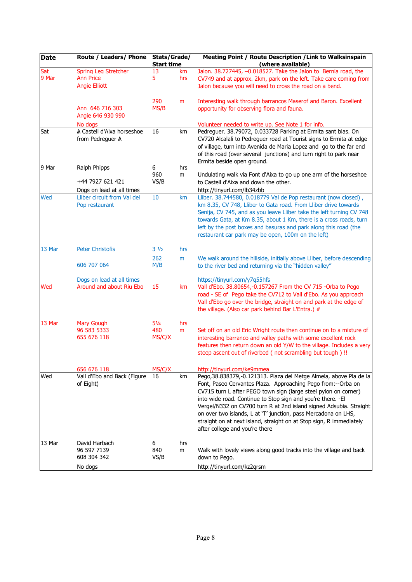| <b>Date</b>  | Route / Leaders/ Phone                                           | Stats/Grade/<br><b>Start time</b> |           | Meeting Point / Route Description / Link to Walksinspain<br>(where available)                                                                                                                                                                                                                                                                                                                                                                                                                                          |
|--------------|------------------------------------------------------------------|-----------------------------------|-----------|------------------------------------------------------------------------------------------------------------------------------------------------------------------------------------------------------------------------------------------------------------------------------------------------------------------------------------------------------------------------------------------------------------------------------------------------------------------------------------------------------------------------|
| Sat<br>9 Mar | Spring Leg Stretcher<br><b>Ann Price</b><br><b>Angie Elliott</b> | 13<br>5                           | km<br>hrs | Jalon. 38.727445, -0.018527. Take the Jalon to Bernia road, the<br>CV749 and at approx. 2km, park on the left. Take care coming from<br>Jalon because you will need to cross the road on a bend.                                                                                                                                                                                                                                                                                                                       |
|              | Ann 646 716 303<br>Angie 646 930 990                             | 290<br>MS/B                       | m         | Interesting walk through barrancos Maserof and Baron. Excellent<br>opportunity for observing flora and fauna.                                                                                                                                                                                                                                                                                                                                                                                                          |
|              | No dogs                                                          |                                   |           | Volunteer needed to write up. See Note 1 for info.                                                                                                                                                                                                                                                                                                                                                                                                                                                                     |
| Sat          | A Castell d'Aixa horseshoe<br>from Pedreguer A                   | 16                                | km        | Pedreguer. 38.79072, 0.033728 Parking at Ermita sant blas. On<br>CV720 Alcalali to Pedreguer road at Tourist signs to Ermita at edge<br>of village, turn into Avenida de Maria Lopez and go to the far end<br>of this road (over several junctions) and turn right to park near                                                                                                                                                                                                                                        |
| 9 Mar        | Ralph Phipps                                                     | 6                                 | hrs       | Ermita beside open ground.                                                                                                                                                                                                                                                                                                                                                                                                                                                                                             |
|              | +44 7927 621 421                                                 | 960<br>VS/B                       | m         | Undulating walk via Font d'Aixa to go up one arm of the horseshoe<br>to Castell d'Aixa and down the other.                                                                                                                                                                                                                                                                                                                                                                                                             |
|              | Dogs on lead at all times                                        |                                   |           | http://tinyurl.com/lb34zbb                                                                                                                                                                                                                                                                                                                                                                                                                                                                                             |
| Wed          | Lliber circuit from Val del<br>Pop restaurant                    | 10                                | km        | Lliber. 38.744580, 0.018779 Val de Pop restaurant (now closed),<br>km 8.35, CV 748, Lliber to Gata road. From Lliber drive towards<br>Senija, CV 745, and as you leave Lliber take the left turning CV 748<br>towards Gata, at Km 8.35, about 1 Km, there is a cross roads, turn<br>left by the post boxes and basuras and park along this road (the<br>restaurant car park may be open, 100m on the left)                                                                                                             |
| 13 Mar       | <b>Peter Christofis</b>                                          | $3\frac{1}{2}$                    | hrs       |                                                                                                                                                                                                                                                                                                                                                                                                                                                                                                                        |
|              |                                                                  | 262                               | m         | We walk around the hillside, initially above Lliber, before descending                                                                                                                                                                                                                                                                                                                                                                                                                                                 |
|              | 606 707 064                                                      | M/B                               |           | to the river bed and returning via the "hidden valley"                                                                                                                                                                                                                                                                                                                                                                                                                                                                 |
|              | Dogs on lead at all times                                        |                                   |           | https://tinyurl.com/y7q55hfs                                                                                                                                                                                                                                                                                                                                                                                                                                                                                           |
| Wed          | Around and about Riu Ebo                                         | 15                                | km        | Vall d'Ebo. 38.80654,-0.157267 From the CV 715 -Orba to Pego<br>road - SE of Pego take the CV712 to Vall d'Ebo. As you approach<br>Vall d'Ebo go over the bridge, straight on and park at the edge of<br>the village. (Also car park behind Bar L'Entra.) #                                                                                                                                                                                                                                                            |
| 13 Mar       | <b>Mary Gough</b>                                                | $5\frac{1}{4}$                    | hrs       |                                                                                                                                                                                                                                                                                                                                                                                                                                                                                                                        |
|              | 96 583 5333<br>655 676 118                                       | 480<br>MS/C/X                     | m         | Set off on an old Eric Wright route then continue on to a mixture of<br>interesting barranco and valley paths with some excellent rock<br>features then return down an old Y/W to the village. Includes a very<br>steep ascent out of riverbed (not scrambling but tough) !!                                                                                                                                                                                                                                           |
|              | 656 676 118                                                      | MS/C/X                            |           | http://tinyurl.com/ke9mmea                                                                                                                                                                                                                                                                                                                                                                                                                                                                                             |
| Wed          | Vall d'Ebo and Back (Figure<br>of Eight)                         | 16                                | km        | Pego, 38.838379,-0.121313. Plaza del Metge Almela, above Pla de la<br>Font, Paseo Cervantes Plaza. Approaching Pego from:--Orba on<br>CV715 turn L after PEGO town sign (large steel pylon on corner)<br>into wide road. Continue to Stop sign and you're there. - El<br>Vergel/N332 on CV700 turn R at 2nd island signed Adsubia. Straight<br>on over two islands, L at 'T' junction, pass Mercadona on LHS,<br>straight on at next island, straight on at Stop sign, R immediately<br>after college and you're there |
| 13 Mar       | David Harbach<br>96 597 7139<br>608 304 342                      | 6<br>840<br>VS/B                  | hrs<br>m  | Walk with lovely views along good tracks into the village and back<br>down to Pego.                                                                                                                                                                                                                                                                                                                                                                                                                                    |
|              | No dogs                                                          |                                   |           | http://tinyurl.com/kz2qrsm                                                                                                                                                                                                                                                                                                                                                                                                                                                                                             |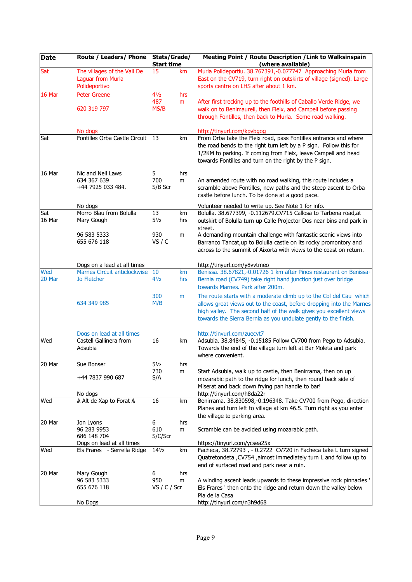| <b>Date</b>   | Route / Leaders/ Phone                                                   | Stats/Grade/<br><b>Start time</b> |           | Meeting Point / Route Description / Link to Walksinspain<br>(where available)                                                                                                                                                                                                       |
|---------------|--------------------------------------------------------------------------|-----------------------------------|-----------|-------------------------------------------------------------------------------------------------------------------------------------------------------------------------------------------------------------------------------------------------------------------------------------|
| Sat           | The villages of the Vall De<br><b>Laguar from Murla</b><br>Polideportivo | 15                                | km        | Murla Polideportiu. 38.767391,-0.077747 Approaching Murla from<br>East on the CV719, turn right on outskirts of village (signed). Large<br>sports centre on LHS after about 1 km.                                                                                                   |
| 16 Mar        | <b>Peter Greene</b>                                                      | $4\frac{1}{2}$<br>487             | hrs<br>m  | After first trecking up to the foothills of Caballo Verde Ridge, we                                                                                                                                                                                                                 |
|               | 620 319 797                                                              | MS/B                              |           | walk on to Benimaurell, then Fleix, and Campell before passing<br>through Fontilles, then back to Murla. Some road walking.                                                                                                                                                         |
|               | No dogs                                                                  |                                   |           | http://tinyurl.com/kpvbgog                                                                                                                                                                                                                                                          |
| Sat           | Fontilles Orba Castle Circuit                                            | -13                               | km        | From Orba take the Fleix road, pass Fontilles entrance and where<br>the road bends to the right turn left by a P sign. Follow this for<br>1/2KM to parking. If coming from Fleix, leave Campell and head<br>towards Fontilles and turn on the right by the P sign.                  |
| 16 Mar        | Nic and Neil Laws                                                        | 5                                 | hrs       |                                                                                                                                                                                                                                                                                     |
|               | 634 367 639<br>+44 7925 033 484.                                         | 700<br>S/B Scr                    | m         | An amended route with no road walking, this route includes a<br>scramble above Fontilles, new paths and the steep ascent to Orba<br>castle before lunch. To be done at a good pace.                                                                                                 |
|               | No dogs                                                                  |                                   |           | Volunteer needed to write up. See Note 1 for info.                                                                                                                                                                                                                                  |
| Sat<br>16 Mar | Morro Blau from Bolulla<br>Mary Gough                                    | 13<br>$5\frac{1}{2}$              | km<br>hrs | Bolulla. 38.677399, -0.112679.CV715 Callosa to Tarbena road, at<br>outskirt of Bolulla turn up Calle Projector Dos near bins and park in<br>street.                                                                                                                                 |
|               | 96 583 5333<br>655 676 118                                               | 930<br>VS / C                     | m         | A demanding mountain challenge with fantastic scenic views into<br>Barranco Tancat, up to Bolulla castle on its rocky promontory and<br>across to the summit of Aixorta with views to the coast on return.                                                                          |
|               | Dogs on a lead at all times                                              |                                   |           | http://tinyurl.com/y8vvtmeo                                                                                                                                                                                                                                                         |
| Wed<br>20 Mar | Marnes Circuit anticlockwise<br><b>Jo Fletcher</b>                       | 10<br>41/2                        | km<br>hrs | Benissa. 38.67821,-0.01726 1 km after Pinos restaurant on Benissa-<br>Bernia road (CV749) take right hand junction just over bridge<br>towards Marnes. Park after 200m.                                                                                                             |
|               | 634 349 985                                                              | 300<br>M/B                        | m         | The route starts with a moderate climb up to the Col del Cau which<br>allows great views out to the coast, before dropping into the Marnes<br>high valley. The second half of the walk gives you excellent views<br>towards the Sierra Bernia as you undulate gently to the finish. |
|               | Dogs on lead at all times                                                |                                   |           | http://tinyurl.com/zuecyt7                                                                                                                                                                                                                                                          |
| Wed           | Castell Gallinera from<br>Adsubia                                        | 16                                | km        | Adsubia. 38.84845, -0.15185 Follow CV700 from Pego to Adsubia.<br>Towards the end of the village turn left at Bar Moleta and park<br>where convenient.                                                                                                                              |
| 20 Mar        | Sue Bonser                                                               | $5\frac{1}{2}$                    | hrs       |                                                                                                                                                                                                                                                                                     |
|               | +44 7837 990 687                                                         | 730<br>S/A                        | m         | Start Adsubia, walk up to castle, then Benirrama, then on up<br>mozarabic path to the ridge for lunch, then round back side of<br>Miserat and back down frying pan handle to bar!                                                                                                   |
|               | No dogs                                                                  |                                   |           | http://tinyurl.com/h8da22r                                                                                                                                                                                                                                                          |
| Wed           | A Alt de Xap to Forat A                                                  | 16                                | km        | Benirrama. 38.830598,-0.196348. Take CV700 from Pego, direction<br>Planes and turn left to village at km 46.5. Turn right as you enter<br>the village to parking area.                                                                                                              |
| 20 Mar        | Jon Lyons                                                                | 6                                 | hrs       |                                                                                                                                                                                                                                                                                     |
|               | 96 283 9953<br>686 148 704                                               | 610<br>S/C/Scr                    | m         | Scramble can be avoided using mozarabic path.<br>https://tinyurl.com/ycsea25x                                                                                                                                                                                                       |
| Wed           | Dogs on lead at all times<br>Els Frares - Serrella Ridge                 | 141/2                             | km        | Facheca, 38.72793, - 0.2722 CV720 in Facheca take L turn signed                                                                                                                                                                                                                     |
|               |                                                                          |                                   |           | Quatretondeta , CV754 , almost immediately turn L and follow up to<br>end of surfaced road and park near a ruin.                                                                                                                                                                    |
| 20 Mar        | Mary Gough                                                               | 6                                 | hrs       |                                                                                                                                                                                                                                                                                     |
|               | 96 583 5333<br>655 676 118                                               | 950<br>VS / $C$ / Scr             | m         | A winding ascent leads upwards to these impressive rock pinnacles '                                                                                                                                                                                                                 |
|               |                                                                          |                                   |           | Els Frares ' then onto the ridge and return down the valley below<br>Pla de la Casa                                                                                                                                                                                                 |
|               | No Dogs                                                                  |                                   |           | http://tinyurl.com/n3h9d68                                                                                                                                                                                                                                                          |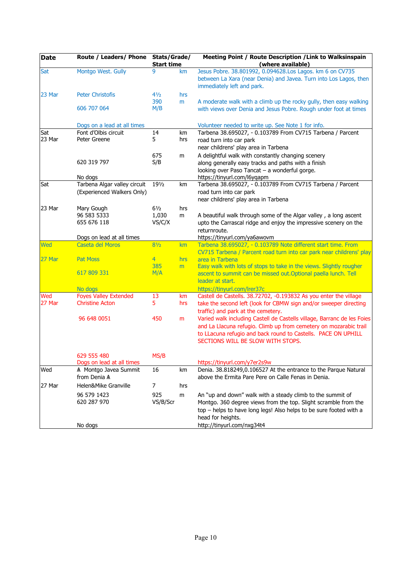| <b>Date</b> | Route / Leaders/ Phone Stats/Grade/ | <b>Start time</b> |     | Meeting Point / Route Description / Link to Walksinspain<br>(where available)                                                                                |  |
|-------------|-------------------------------------|-------------------|-----|--------------------------------------------------------------------------------------------------------------------------------------------------------------|--|
| Sat         | Montgo West. Gully                  | 9                 | km  | Jesus Pobre. 38.801992, 0.094628.Los Lagos. km 6 on CV735<br>between La Xara (near Denia) and Javea. Turn into Los Lagos, then<br>immediately left and park. |  |
| 23 Mar      | <b>Peter Christofis</b>             | 41/2              | hrs |                                                                                                                                                              |  |
|             | 606 707 064                         | 390<br>M/B        | m   | A moderate walk with a climb up the rocky gully, then easy walking<br>with views over Denia and Jesus Pobre. Rough under foot at times                       |  |
|             | Dogs on a lead at all times         |                   |     | Volunteer needed to write up. See Note 1 for info.                                                                                                           |  |
| Sat         | Font d'Olbis circuit                | 14                | km  | Tarbena 38.695027, - 0.103789 From CV715 Tarbena / Parcent                                                                                                   |  |
| 23 Mar      | Peter Greene                        | 5                 | hrs | road turn into car park                                                                                                                                      |  |
|             |                                     |                   |     | near childrens' play area in Tarbena                                                                                                                         |  |
|             |                                     | 675               | m   | A delightful walk with constantly changing scenery                                                                                                           |  |
|             | 620 319 797                         | S/B               |     | along generally easy tracks and paths with a finish                                                                                                          |  |
|             |                                     |                   |     | looking over Paso Tancat - a wonderful gorge.                                                                                                                |  |
|             | No dogs                             |                   |     | https://tinyurl.com/l6yqapm                                                                                                                                  |  |
| Sat         | Tarbena Algar valley circuit        | 191/2             | km  | Tarbena 38.695027, - 0.103789 From CV715 Tarbena / Parcent                                                                                                   |  |
|             | (Experienced Walkers Only)          |                   |     | road turn into car park                                                                                                                                      |  |
|             |                                     |                   |     | near childrens' play area in Tarbena                                                                                                                         |  |
| 23 Mar      | Mary Gough                          | $6\frac{1}{2}$    | hrs |                                                                                                                                                              |  |
|             | 96 583 5333<br>655 676 118          | 1,030<br>VS/C/X   | m   | A beautiful walk through some of the Algar valley, a long ascent<br>upto the Carrascal ridge and enjoy the impressive scenery on the                         |  |
|             |                                     |                   |     | returnroute.                                                                                                                                                 |  |
|             | Dogs on lead at all times           |                   |     | https://tinyurl.com/ya6awovm                                                                                                                                 |  |
| Wed         | Caseta del Moros                    | $8\frac{1}{2}$    | km  | Tarbena 38.695027, - 0.103789 Note different start time. From                                                                                                |  |
|             |                                     |                   |     | CV715 Tarbena / Parcent road turn into car park near childrens' play                                                                                         |  |
| 27 Mar      | <b>Pat Moss</b>                     | $\overline{4}$    | hrs | area in Tarbena                                                                                                                                              |  |
|             |                                     | 385               | m   | Easy walk with lots of stops to take in the views. Slightly rougher                                                                                          |  |
|             | 617 809 331                         | M/A               |     | ascent to summit can be missed out. Optional paella lunch. Tell                                                                                              |  |
|             |                                     |                   |     | leader at start.                                                                                                                                             |  |
|             | No dogs                             |                   |     | https://tinyurl.com/lrer37c                                                                                                                                  |  |
| Wed         | <b>Foyes Valley Extended</b>        | 13                | km  | Castell de Castells. 38.72702, -0.193832 As you enter the village                                                                                            |  |
| 27 Mar      | <b>Christine Acton</b>              | 5                 | hrs | take the second left (look for CBMW sign and/or sweeper directing                                                                                            |  |
|             | 96 648 0051                         | 450               |     | traffic) and park at the cemetery.<br>Varied walk including Castell de Castells village, Barranc de les Foies                                                |  |
|             |                                     |                   | m   | and La Llacuna refugio. Climb up from cemetery on mozarabic trail                                                                                            |  |
|             |                                     |                   |     | to LLacuna refugio and back round to Castells. PACE ON UPHILL                                                                                                |  |
|             |                                     |                   |     | SECTIONS WILL BE SLOW WITH STOPS.                                                                                                                            |  |
|             |                                     |                   |     |                                                                                                                                                              |  |
|             | 629 555 480                         | MS/B              |     |                                                                                                                                                              |  |
|             | Dogs on lead at all times           |                   |     | https://tinyurl.com/y7er2s9w                                                                                                                                 |  |
| Wed         | A Montgo Javea Summit               | 16                | km  | Denia. 38.818249,0.106527 At the entrance to the Parque Natural                                                                                              |  |
|             | from Denia A                        |                   |     | above the Ermita Pare Pere on Calle Fenas in Denia.                                                                                                          |  |
| 27 Mar      | Helen&Mike Granville                | 7                 | hrs |                                                                                                                                                              |  |
|             | 96 579 1423                         | 925               | m   | An "up and down" walk with a steady climb to the summit of                                                                                                   |  |
|             | 620 287 970                         | VS/B/Scr          |     | Montgo. 360 degree views from the top. Slight scramble from the                                                                                              |  |
|             |                                     |                   |     | top - helps to have long legs! Also helps to be sure footed with a                                                                                           |  |
|             |                                     |                   |     | head for heights.                                                                                                                                            |  |
|             | No dogs                             |                   |     | http://tinyurl.com/nxg34t4                                                                                                                                   |  |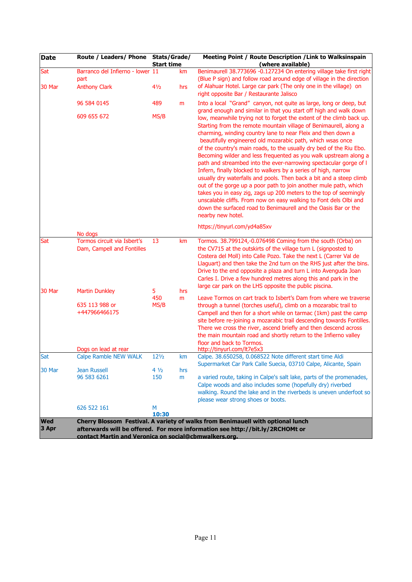| <b>Date</b>         | Route / Leaders/ Phone                                    | Stats/Grade/<br><b>Start time</b> |          | Meeting Point / Route Description / Link to Walksinspain<br>(where available)                                                                                                                                                                                                                                                                                                                                                                                                                                                                                                                                                                                                                                                                                                                                                                                                                                                                                         |
|---------------------|-----------------------------------------------------------|-----------------------------------|----------|-----------------------------------------------------------------------------------------------------------------------------------------------------------------------------------------------------------------------------------------------------------------------------------------------------------------------------------------------------------------------------------------------------------------------------------------------------------------------------------------------------------------------------------------------------------------------------------------------------------------------------------------------------------------------------------------------------------------------------------------------------------------------------------------------------------------------------------------------------------------------------------------------------------------------------------------------------------------------|
| Sat                 | Barranco del Infierno - lower 11                          |                                   | km       | Benimaurell 38.773696 -0.127234 On entering village take first right                                                                                                                                                                                                                                                                                                                                                                                                                                                                                                                                                                                                                                                                                                                                                                                                                                                                                                  |
|                     | part                                                      |                                   |          | (Blue P sign) and follow road around edge of village in the direction                                                                                                                                                                                                                                                                                                                                                                                                                                                                                                                                                                                                                                                                                                                                                                                                                                                                                                 |
| 30 Mar              | <b>Anthony Clark</b>                                      | 41/2                              | hrs      | of Alahuar Hotel. Large car park (The only one in the village) on<br>right opposite Bar / Restaurante Jalisco                                                                                                                                                                                                                                                                                                                                                                                                                                                                                                                                                                                                                                                                                                                                                                                                                                                         |
|                     | 96 584 0145                                               | 489                               | m        | Into a local "Grand" canyon, not quite as large, long or deep, but<br>grand enough and similar in that you start off high and walk down                                                                                                                                                                                                                                                                                                                                                                                                                                                                                                                                                                                                                                                                                                                                                                                                                               |
|                     | 609 655 672                                               | MS/B                              |          | low, meanwhile trying not to forget the extent of the climb back up.<br>Starting from the remote mountain village of Benimaurell, along a<br>charming, winding country lane to near Fleix and then down a<br>beautifully engineered old mozarabic path, which wsas once<br>of the country's main roads, to the usually dry bed of the Riu Ebo.<br>Becoming wilder and less frequented as you walk upstream along a<br>path and streambed into the ever-narrowing spectacular gorge of I<br>Infern, finally blocked to walkers by a series of high, narrow<br>usually dry waterfalls and pools. Then back a bit and a steep climb<br>out of the gorge up a poor path to join another mule path, which<br>takes you in easy zig, zags up 200 meters to the top of seemingly<br>unscalable cliffs. From now on easy walking to Font dels Olbi and<br>down the surfaced road to Benimaurell and the Oasis Bar or the<br>nearby new hotel.<br>https://tinyurl.com/yd4a85xv |
|                     | No dogs                                                   |                                   |          |                                                                                                                                                                                                                                                                                                                                                                                                                                                                                                                                                                                                                                                                                                                                                                                                                                                                                                                                                                       |
| Sat                 | Tormos circuit via Isbert's<br>Dam, Campell and Fontilles | 13                                | km       | Tormos. 38.799124,-0.076498 Coming from the south (Orba) on<br>the CV715 at the outskirts of the village turn L (signposted to<br>Costera del Moll) into Calle Pozo. Take the next L (Carrer Val de<br>Llaguart) and then take the 2nd turn on the RHS just after the bins.<br>Drive to the end opposite a plaza and turn L into Avenguda Joan<br>Carles I. Drive a few hundred metres along this and park in the<br>large car park on the LHS opposite the public piscina.                                                                                                                                                                                                                                                                                                                                                                                                                                                                                           |
| 30 Mar              | <b>Martin Dunkley</b>                                     | 5<br>450                          | hrs<br>m | Leave Tormos on cart track to Isbert's Dam from where we traverse                                                                                                                                                                                                                                                                                                                                                                                                                                                                                                                                                                                                                                                                                                                                                                                                                                                                                                     |
|                     | 635 113 988 or<br>+447966466175                           | MS/B                              |          | through a tunnel (torches useful), climb on a mozarabic trail to<br>Campell and then for a short while on tarmac (1km) past the camp<br>site before re-joining a mozarabic trail descending towards Fontilles.<br>There we cross the river, ascend briefly and then descend across<br>the main mountain road and shortly return to the Infierno valley<br>floor and back to Tormos.                                                                                                                                                                                                                                                                                                                                                                                                                                                                                                                                                                                   |
|                     | Dogs on lead at rear                                      |                                   |          | http://tinyurl.com/lt7e5x3                                                                                                                                                                                                                                                                                                                                                                                                                                                                                                                                                                                                                                                                                                                                                                                                                                                                                                                                            |
| Sat                 | <b>Calpe Ramble NEW WALK</b>                              | $12\frac{1}{2}$                   | km       | Calpe. 38.650258, 0.068522 Note different start time Aldi                                                                                                                                                                                                                                                                                                                                                                                                                                                                                                                                                                                                                                                                                                                                                                                                                                                                                                             |
| 30 Mar              | Jean Russell                                              | $4\frac{1}{2}$                    | hrs      | Supermarket Car Park Calle Suecia, 03710 Calpe, Alicante, Spain                                                                                                                                                                                                                                                                                                                                                                                                                                                                                                                                                                                                                                                                                                                                                                                                                                                                                                       |
|                     | 96 583 6261                                               | 150                               | m        | a varied route, taking in Calpe's salt lake, parts of the promenades,<br>Calpe woods and also includes some (hopefully dry) riverbed<br>walking. Round the lake and in the riverbeds is uneven underfoot so<br>please wear strong shoes or boots.                                                                                                                                                                                                                                                                                                                                                                                                                                                                                                                                                                                                                                                                                                                     |
|                     | 626 522 161                                               | M<br>10:30                        |          |                                                                                                                                                                                                                                                                                                                                                                                                                                                                                                                                                                                                                                                                                                                                                                                                                                                                                                                                                                       |
| <b>Wed</b><br>3 Apr | contact Martin and Veronica on social@cbmwalkers.org.     |                                   |          | Cherry Blossom Festival. A variety of walks from Benimauell with optional lunch<br>afterwards will be offered. For more information see http://bit.ly/2RCHOMt or                                                                                                                                                                                                                                                                                                                                                                                                                                                                                                                                                                                                                                                                                                                                                                                                      |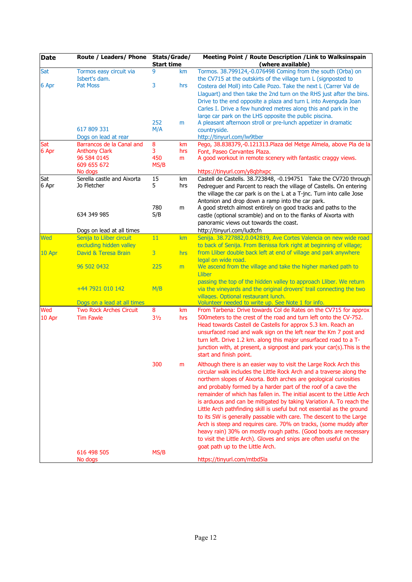| <b>Date</b> | Route / Leaders/ Phone                   | Stats/Grade/<br><b>Start time</b> |     | Meeting Point / Route Description / Link to Walksinspain<br>(where available)                                                                                                                                                                                                                                                                                                                                                                                                                                                                                                                                                                                                                                                                                                                                                             |  |  |
|-------------|------------------------------------------|-----------------------------------|-----|-------------------------------------------------------------------------------------------------------------------------------------------------------------------------------------------------------------------------------------------------------------------------------------------------------------------------------------------------------------------------------------------------------------------------------------------------------------------------------------------------------------------------------------------------------------------------------------------------------------------------------------------------------------------------------------------------------------------------------------------------------------------------------------------------------------------------------------------|--|--|
| Sat         | Tormos easy circuit via<br>Isbert's dam. | 9                                 | km  | Tormos. 38.799124,-0.076498 Coming from the south (Orba) on<br>the CV715 at the outskirts of the village turn L (signposted to                                                                                                                                                                                                                                                                                                                                                                                                                                                                                                                                                                                                                                                                                                            |  |  |
| 6 Apr       | <b>Pat Moss</b>                          | 3                                 | hrs | Costera del Moll) into Calle Pozo. Take the next L (Carrer Val de<br>Llaguart) and then take the 2nd turn on the RHS just after the bins.<br>Drive to the end opposite a plaza and turn L into Avenguda Joan<br>Carles I. Drive a few hundred metres along this and park in the                                                                                                                                                                                                                                                                                                                                                                                                                                                                                                                                                           |  |  |
|             | 617 809 331<br>Dogs on lead at rear      | 252<br>M/A                        | m   | large car park on the LHS opposite the public piscina.<br>A pleasant afternoon stroll or pre-lunch appetizer in dramatic<br>countryside.<br>http://tinyurl.com/lw9tber                                                                                                                                                                                                                                                                                                                                                                                                                                                                                                                                                                                                                                                                    |  |  |
| Sat         | Barrancos de la Canal and                | 8                                 | km  | Pego, 38.838379,-0.121313. Plaza del Metge Almela, above Pla de la                                                                                                                                                                                                                                                                                                                                                                                                                                                                                                                                                                                                                                                                                                                                                                        |  |  |
| 6 Apr       | <b>Anthony Clark</b>                     | 3                                 | hrs | Font, Paseo Cervantes Plaza.                                                                                                                                                                                                                                                                                                                                                                                                                                                                                                                                                                                                                                                                                                                                                                                                              |  |  |
|             | 96 584 0145<br>609 655 672               | 450<br>MS/B                       | m   | A good workout in remote scenery with fantastic craggy views.                                                                                                                                                                                                                                                                                                                                                                                                                                                                                                                                                                                                                                                                                                                                                                             |  |  |
| Sat         | No dogs<br>Serella castle and Aixorta    | 15                                | km  | https://tinyurl.com/y8qbhxpc<br>Castell de Castells. 38.723848, -0.194751 Take the CV720 through                                                                                                                                                                                                                                                                                                                                                                                                                                                                                                                                                                                                                                                                                                                                          |  |  |
| 6 Apr       | Jo Fletcher                              | 5                                 | hrs | Pedreguer and Parcent to reach the village of Castells. On entering<br>the village the car park is on the L at a T-jnc. Turn into calle Jose<br>Antonion and drop down a ramp into the car park.                                                                                                                                                                                                                                                                                                                                                                                                                                                                                                                                                                                                                                          |  |  |
|             | 634 349 985                              | 780<br>S/B                        | m   | A good stretch almost entirely on good tracks and paths to the<br>castle (optional scramble) and on to the flanks of Aixorta with<br>panoramic views out towards the coast.                                                                                                                                                                                                                                                                                                                                                                                                                                                                                                                                                                                                                                                               |  |  |
|             | Dogs on lead at all times                |                                   |     | http://tinyurl.com/ludtcfn                                                                                                                                                                                                                                                                                                                                                                                                                                                                                                                                                                                                                                                                                                                                                                                                                |  |  |
| <b>Wed</b>  | Senija to Lliber circuit                 | 11                                | km  | Senija. 38.727882,0.042819, Ave Cortes Valencia on new wide road                                                                                                                                                                                                                                                                                                                                                                                                                                                                                                                                                                                                                                                                                                                                                                          |  |  |
|             | excluding hidden valley                  |                                   |     | to back of Senija. From Benissa fork right at beginning of village;                                                                                                                                                                                                                                                                                                                                                                                                                                                                                                                                                                                                                                                                                                                                                                       |  |  |
| 10 Apr      | David & Teresa Brain                     | $\overline{3}$                    | hrs | from Lliber double back left at end of village and park anywhere<br>legal on wide road.                                                                                                                                                                                                                                                                                                                                                                                                                                                                                                                                                                                                                                                                                                                                                   |  |  |
|             | 96 502 0432                              | 225                               | m   | We ascend from the village and take the higher marked path to<br><b>Lliber</b><br>passing the top of the hidden valley to approach Lliber. We return                                                                                                                                                                                                                                                                                                                                                                                                                                                                                                                                                                                                                                                                                      |  |  |
|             | +44 7921 010 142                         | M/B                               |     | via the vineyards and the original drovers' trail connecting the two<br>villages. Optional restaurant lunch.                                                                                                                                                                                                                                                                                                                                                                                                                                                                                                                                                                                                                                                                                                                              |  |  |
|             | Dogs on a lead at all times              |                                   |     | Volunteer needed to write up. See Note 1 for info.                                                                                                                                                                                                                                                                                                                                                                                                                                                                                                                                                                                                                                                                                                                                                                                        |  |  |
| Wed         | <b>Two Rock Arches Circuit</b>           | 8                                 | km  | From Tarbena: Drive towards Col de Rates on the CV715 for approx                                                                                                                                                                                                                                                                                                                                                                                                                                                                                                                                                                                                                                                                                                                                                                          |  |  |
| 10 Apr      | <b>Tim Fawle</b>                         | $3\frac{1}{2}$                    | hrs | 500 meters to the crest of the road and turn left onto the CV-752.<br>Head towards Castell de Castells for approx 5.3 km. Reach an<br>unsurfaced road and walk sign on the left near the Km 7 post and<br>turn left. Drive 1.2 km. along this major unsurfaced road to a T-<br>junction with, at present, a signpost and park your car(s). This is the<br>start and finish point.                                                                                                                                                                                                                                                                                                                                                                                                                                                         |  |  |
|             |                                          | 300                               | m   | Although there is an easier way to visit the Large Rock Arch this<br>circular walk includes the Little Rock Arch and a traverse along the<br>northern slopes of Aixorta. Both arches are geological curiosities<br>and probably formed by a harder part of the roof of a cave the<br>remainder of which has fallen in. The initial ascent to the Little Arch<br>is arduous and can be mitigated by taking Variation A. To reach the<br>Little Arch pathfinding skill is useful but not essential as the ground<br>to its SW is generally passable with care. The descent to the Large<br>Arch is steep and requires care. 70% on tracks, (some muddy after<br>heavy rain) 30% on mostly rough paths. (Good boots are necessary<br>to visit the Little Arch). Gloves and snips are often useful on the<br>goat path up to the Little Arch. |  |  |
|             | 616 498 505<br>No dogs                   | MS/B                              |     | https://tinyurl.com/mtbd5la                                                                                                                                                                                                                                                                                                                                                                                                                                                                                                                                                                                                                                                                                                                                                                                                               |  |  |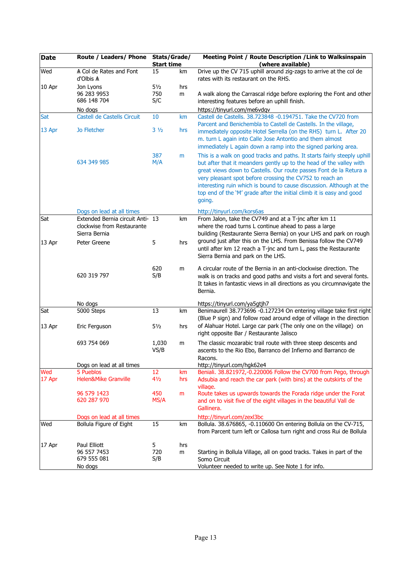| <b>Date</b>   | Route / Leaders/ Phone Stats/Grade/                                             | <b>Start time</b>            |           | Meeting Point / Route Description / Link to Walksinspain<br>(where available)                                                                                                                                                                                                                                                                                                                                                               |
|---------------|---------------------------------------------------------------------------------|------------------------------|-----------|---------------------------------------------------------------------------------------------------------------------------------------------------------------------------------------------------------------------------------------------------------------------------------------------------------------------------------------------------------------------------------------------------------------------------------------------|
| Wed           | A Col de Rates and Font<br>d'Olbis A                                            | 15                           | km        | Drive up the CV 715 uphill around zig-zags to arrive at the col de<br>rates with its restaurant on the RHS.                                                                                                                                                                                                                                                                                                                                 |
| 10 Apr        | Jon Lyons<br>96 283 9953<br>686 148 704                                         | $5\frac{1}{2}$<br>750<br>S/C | hrs<br>m  | A walk along the Carrascal ridge before exploring the Font and other<br>interesting features before an uphill finish.                                                                                                                                                                                                                                                                                                                       |
|               | No dogs                                                                         |                              |           | https://tinyurl.com/me6vdqv                                                                                                                                                                                                                                                                                                                                                                                                                 |
| Sat<br>13 Apr | Castell de Castells Circuit<br><b>Jo Fletcher</b>                               | 10<br>$3\frac{1}{2}$         | km<br>hrs | Castell de Castells. 38.723848 -0.194751. Take the CV720 from<br>Parcent and Benichembla to Castell de Castells. In the village,<br>immediately opposite Hotel Serrella (on the RHS) turn L. After 20<br>m. turn L again into Calle Jose Antontio and them almost<br>immediately L again down a ramp into the signed parking area.                                                                                                          |
|               | 634 349 985                                                                     | 387<br>M/A                   | m         | This is a walk on good tracks and paths. It starts fairly steeply uphill<br>but after that it meanders gently up to the head of the valley with<br>great views down to Castells. Our route passes Font de la Retura a<br>very pleasant spot before crossing the CV752 to reach an<br>interesting ruin which is bound to cause discussion. Although at the<br>top end of the 'M' grade after the initial climb it is easy and good<br>going. |
|               | Dogs on lead at all times                                                       |                              |           | http://tinyurl.com/kors6as                                                                                                                                                                                                                                                                                                                                                                                                                  |
| Sat           | Extended Bernia circuit Anti- 13<br>clockwise from Restaurante<br>Sierra Bernia |                              | km        | From Jalon, take the CV749 and at a T-jnc after km 11<br>where the road turns L continue ahead to pass a large<br>building (Restaurante Sierra Bernia) on your LHS and park on rough                                                                                                                                                                                                                                                        |
| 13 Apr        | Peter Greene                                                                    | 5                            | hrs       | ground just after this on the LHS. From Benissa follow the CV749<br>until after km 12 reach a T-jnc and turn L, pass the Restaurante<br>Sierra Bernia and park on the LHS.                                                                                                                                                                                                                                                                  |
|               | 620 319 797                                                                     | 620<br>S/B                   | m         | A circular route of the Bernia in an anti-clockwise direction. The<br>walk is on tracks and good paths and visits a fort and several fonts.<br>It takes in fantastic views in all directions as you circumnavigate the<br>Bernia.                                                                                                                                                                                                           |
|               | No dogs                                                                         |                              |           | https://tinyurl.com/ya5gtjh7                                                                                                                                                                                                                                                                                                                                                                                                                |
| Sat           | 5000 Steps                                                                      | 13                           | km        | Benimaurell 38.773696 -0.127234 On entering village take first right<br>(Blue P sign) and follow road around edge of village in the direction                                                                                                                                                                                                                                                                                               |
| 13 Apr        | Eric Ferguson                                                                   | $5\frac{1}{2}$               | hrs       | of Alahuar Hotel. Large car park (The only one on the village) on<br>right opposite Bar / Restaurante Jalisco                                                                                                                                                                                                                                                                                                                               |
|               | 693 754 069                                                                     | 1,030<br>VS/B                | m         | The classic mozarabic trail route with three steep descents and<br>ascents to the Rio Ebo, Barranco del Infierno and Barranco de<br>Racons.                                                                                                                                                                                                                                                                                                 |
|               | Dogs on lead at all times                                                       |                              |           | http://tinyurl.com/hgk62e4                                                                                                                                                                                                                                                                                                                                                                                                                  |
| Wed           | 5 Pueblos                                                                       | 12                           | km        | Beniali. 38.821972,-0.220006 Follow the CV700 from Pego, through                                                                                                                                                                                                                                                                                                                                                                            |
| 17 Apr        | <b>Helen&amp;Mike Granville</b>                                                 | $4\frac{1}{2}$               | hrs       | Adsubia and reach the car park (with bins) at the outskirts of the<br>village.                                                                                                                                                                                                                                                                                                                                                              |
|               | 96 579 1423                                                                     | 450                          | m         | Route takes us upwards towards the Forada ridge under the Forat                                                                                                                                                                                                                                                                                                                                                                             |
|               | 620 287 970                                                                     | MS/A                         |           | and on to visit five of the eight villages in the beautiful Vall de<br>Gallinera.                                                                                                                                                                                                                                                                                                                                                           |
|               | Dogs on lead at all times                                                       |                              |           | http://tinyurl.com/zexl3bc                                                                                                                                                                                                                                                                                                                                                                                                                  |
| Wed           | Bollula Figure of Eight                                                         | 15                           | km        | Bollula. 38.676865, -0.110600 On entering Bollula on the CV-715,<br>from Parcent turn left or Callosa turn right and cross Rui de Bollula                                                                                                                                                                                                                                                                                                   |
| 17 Apr        | Paul Elliott<br>96 557 7453<br>679 555 081<br>No dogs                           | 5<br>720<br>S/B              | hrs<br>m  | Starting in Bollula Village, all on good tracks. Takes in part of the<br>Somo Circuit<br>Volunteer needed to write up. See Note 1 for info.                                                                                                                                                                                                                                                                                                 |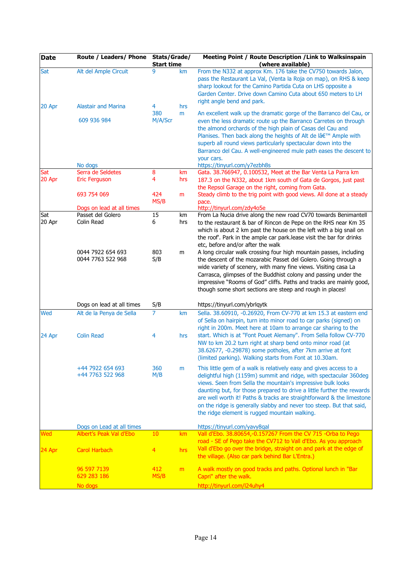| <b>Date</b>   | Route / Leaders/ Phone                         | Stats/Grade/<br><b>Start time</b> |           | Meeting Point / Route Description / Link to Walksinspain<br>(where available)                                                                                                                                                                                                                                                                                                                                                                                                      |
|---------------|------------------------------------------------|-----------------------------------|-----------|------------------------------------------------------------------------------------------------------------------------------------------------------------------------------------------------------------------------------------------------------------------------------------------------------------------------------------------------------------------------------------------------------------------------------------------------------------------------------------|
| Sat           | Alt del Ample Circuit                          | 9                                 | km        | From the N332 at approx Km. 176 take the CV750 towards Jalon,<br>pass the Restaurant La Val, (Venta la Roja on map), on RHS & keep<br>sharp lookout for the Camino Partida Cuta on LHS opposite a<br>Garden Center, Drive down Camino Cuta about 650 meters to LH<br>right angle bend and park.                                                                                                                                                                                    |
| 20 Apr        | <b>Alastair and Marina</b>                     | 4                                 | hrs       |                                                                                                                                                                                                                                                                                                                                                                                                                                                                                    |
|               | 609 936 984                                    | 380<br>M/A/Scr                    | m         | An excellent walk up the dramatic gorge of the Barranco del Cau, or<br>even the less dramatic route up the Barranco Carretes on through<br>the almond orchards of the high plain of Casas del Cau and<br>Planises. Then back along the heights of Alt de l' Ample with<br>superb all round views particularly spectacular down into the<br>Barranco del Cau. A well-engineered mule path eases the descent to<br>your cars.                                                        |
| Sat           | No dogs<br>Serra de Seldetes                   | 8                                 | km        | https://tinyurl.com/y7ezbh8s<br>Gata. 38.766947, 0.100532, Meet at the Bar Venta La Parra km                                                                                                                                                                                                                                                                                                                                                                                       |
| 20 Apr        | <b>Eric Ferguson</b>                           | 4                                 | hrs       | 187.3 on the N332, about 1km south of Gata de Gorgos, just past<br>the Repsol Garage on the right, coming from Gata.                                                                                                                                                                                                                                                                                                                                                               |
|               | 693 754 069                                    | 424<br>MS/B                       | m         | Steady climb to the trig point with good views. All done at a steady<br>pace.                                                                                                                                                                                                                                                                                                                                                                                                      |
| Sat           | Dogs on lead at all times<br>Passet del Golero | 15                                | km        | http://tinyurl.com/zdy4o5e<br>From La Nucia drive along the new road CV70 towards Benimantell                                                                                                                                                                                                                                                                                                                                                                                      |
| 20 Apr        | Colin Read                                     | 6                                 | hrs       | to the restaurant & bar of Rincon de Pepe on the RHS near Km 35<br>which is about 2 km past the house on the left with a big snail on<br>the roof'. Park in the ample car park.lease visit the bar for drinks<br>etc, before and/or after the walk                                                                                                                                                                                                                                 |
|               | 0044 7922 654 693<br>0044 7763 522 968         | 803<br>S/B                        | m         | A long circular walk crossing four high mountain passes, including<br>the descent of the mozarabic Passet del Golero. Going through a<br>wide variety of scenery, with many fine views. Visiting casa La<br>Carrasca, glimpses of the Buddhist colony and passing under the<br>impressive "Rooms of God" cliffs. Paths and tracks are mainly good,<br>though some short sections are steep and rough in places!                                                                    |
|               | Dogs on lead at all times                      | S/B                               |           | https://tinyurl.com/ybrlqytk                                                                                                                                                                                                                                                                                                                                                                                                                                                       |
| Wed<br>24 Apr | Alt de la Penya de Sella<br><b>Colin Read</b>  | $\overline{7}$<br>4               | km<br>hrs | Sella. 38.60910, -0.26920, From CV-770 at km 15.3 at eastern end<br>of Sella on hairpin, turn into minor road to car parks (signed) on<br>right in 200m. Meet here at 10am to arrange car sharing to the<br>start. Which is at "Font Pouet Alemany". From Sella follow CV-770<br>NW to km 20.2 turn right at sharp bend onto minor road (at                                                                                                                                        |
|               |                                                |                                   |           | 38.62677, -0.29878) some potholes, after 7km arrive at font<br>(limited parking). Walking starts from Font at 10.30am.                                                                                                                                                                                                                                                                                                                                                             |
|               | +44 7922 654 693<br>+44 7763 522 968           | 360<br>M/B                        | m         | This little gem of a walk is relatively easy and gives access to a<br>delightful high (1159m) summit and ridge, with spectacular 360deg<br>views. Seen from Sella the mountain's impressive bulk looks<br>daunting but, for those prepared to drive a little further the rewards<br>are well worth it! Paths & tracks are straightforward & the limestone<br>on the ridge is generally slabby and never too steep. But that said,<br>the ridge element is rugged mountain walking. |
|               | Dogs on Lead at all times                      |                                   |           | https://tinyurl.com/yavy8qal                                                                                                                                                                                                                                                                                                                                                                                                                                                       |
| Wed           | Albert's Peak Val d'Ebo                        | 10                                | km        | Vall d'Ebo. 38.80654,-0.157267 From the CV 715 -Orba to Pego                                                                                                                                                                                                                                                                                                                                                                                                                       |
| 24 Apr        | <b>Carol Harbach</b>                           | 4                                 | hrs       | road - SE of Pego take the CV712 to Vall d'Ebo. As you approach<br>Vall d'Ebo go over the bridge, straight on and park at the edge of<br>the village. (Also car park behind Bar L'Entra.)                                                                                                                                                                                                                                                                                          |
|               | 96 597 7139<br>629 283 186                     | 412<br>MS/B                       | m         | A walk mostly on good tracks and paths. Optional lunch in "Bar<br>Capri" after the walk.                                                                                                                                                                                                                                                                                                                                                                                           |
|               | No dogs                                        |                                   |           | http://tinyurl.com/l24uhy4                                                                                                                                                                                                                                                                                                                                                                                                                                                         |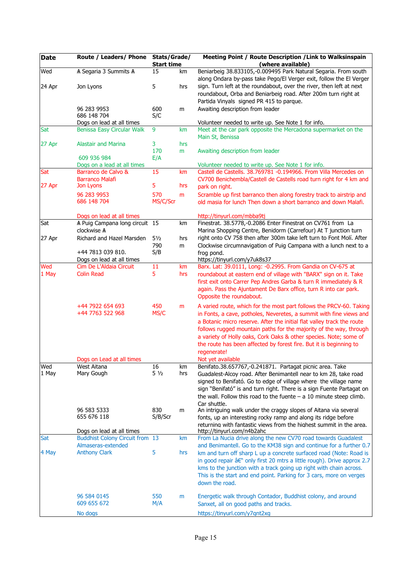| <b>Date</b>  | Route / Leaders/ Phone Stats/Grade/      | <b>Start time</b>     |           | Meeting Point / Route Description / Link to Walksinspain<br>(where available)                                                                                                                                                                                                                                                                                                                                                         |
|--------------|------------------------------------------|-----------------------|-----------|---------------------------------------------------------------------------------------------------------------------------------------------------------------------------------------------------------------------------------------------------------------------------------------------------------------------------------------------------------------------------------------------------------------------------------------|
| Wed          | A Segaria 3 Summits A                    | 15                    | km        | Beniarbeig 38.833105,-0.009495 Park Natural Segaria. From south                                                                                                                                                                                                                                                                                                                                                                       |
|              |                                          |                       |           | along Ondara by-pass take Pego/El Verger exit, follow the El Verger                                                                                                                                                                                                                                                                                                                                                                   |
| 24 Apr       | Jon Lyons                                | 5                     | hrs       | sign. Turn left at the roundabout, over the river, then left at next<br>roundabout, Orba and Beniarbeig road. After 200m turn right at<br>Partida Vinyals signed PR 415 to parque.                                                                                                                                                                                                                                                    |
|              | 96 283 9953<br>686 148 704               | 600<br>S/C            | m         | Awaiting description from leader                                                                                                                                                                                                                                                                                                                                                                                                      |
|              | Dogs on lead at all times                |                       |           | Volunteer needed to write up. See Note 1 for info.                                                                                                                                                                                                                                                                                                                                                                                    |
| Sat          | Benissa Easy Circular Walk               | 9                     | km        | Meet at the car park opposite the Mercadona supermarket on the<br>Main St, Benissa                                                                                                                                                                                                                                                                                                                                                    |
| 27 Apr       | Alastair and Marina                      | 3                     | hrs       |                                                                                                                                                                                                                                                                                                                                                                                                                                       |
|              | 609 936 984                              | 170<br>E/A            | m         | Awaiting description from leader                                                                                                                                                                                                                                                                                                                                                                                                      |
|              | Dogs on a lead at all times              |                       |           | Volunteer needed to write up. See Note 1 for info.                                                                                                                                                                                                                                                                                                                                                                                    |
| Sat          | Barranco de Calvo &<br>Barranco Malafi   | 15                    | km        | Castell de Castells. 38.769781 -0.194966. From Villa Mercedes on<br>CV700 Benichembla/Castell de Castells road turn right for 4 km and                                                                                                                                                                                                                                                                                                |
| 27 Apr       | Jon Lyons                                | 5                     | hrs       | park on right.                                                                                                                                                                                                                                                                                                                                                                                                                        |
|              | 96 283 9953<br>686 148 704               | 570<br>MS/C/Scr       | m         | Scramble up first barranco then along forestry track to airstrip and<br>old masia for lunch Then down a short barranco and down Malafi.                                                                                                                                                                                                                                                                                               |
|              | Dogs on lead at all times                |                       |           | http://tinyurl.com/mbba9tj                                                                                                                                                                                                                                                                                                                                                                                                            |
| Sat          | A Puig Campana long circuit 15           |                       | km        | Finestrat. 38.5778,-0.2086 Enter Finestrat on CV761 from La                                                                                                                                                                                                                                                                                                                                                                           |
|              | clockwise A<br>Richard and Hazel Marsden |                       |           | Marina Shopping Centre, Benidorm (Carrefour) At T junction turn<br>right onto CV 758 then after 300m take left turn to Font Molí. After                                                                                                                                                                                                                                                                                               |
| 27 Apr       |                                          | $5\frac{1}{2}$<br>790 | hrs<br>m  | Clockwise circumnavigation of Puig Campana with a lunch next to a                                                                                                                                                                                                                                                                                                                                                                     |
|              | +44 7813 039 810.                        | S/B                   |           | frog pond.                                                                                                                                                                                                                                                                                                                                                                                                                            |
|              | Dogs on lead at all times                |                       |           | https://tinyurl.com/y7uk8s37                                                                                                                                                                                                                                                                                                                                                                                                          |
| Wed          | Cim De L'Aldaia Circuit                  | 11                    | km        | Barx. Lat: 39.0111, Long: -0.2995. From Gandia on CV-675 at                                                                                                                                                                                                                                                                                                                                                                           |
| 1 May        | <b>Colin Read</b>                        | 5                     | hrs       | roundabout at eastern end of village with "BARX" sign on it. Take<br>first exit onto Carrer Pep Andres Garba & turn R immediately & R<br>again. Pass the Ajuntament De Barx office, turn R into car park.<br>Opposite the roundabout.                                                                                                                                                                                                 |
|              | +44 7922 654 693<br>+44 7763 522 968     | 450<br>MS/C           | m         | A varied route, which for the most part follows the PRCV-60. Taking<br>in Fonts, a cave, potholes, Neveretes, a summit with fine views and<br>a Botanic micro reserve. After the initial flat valley track the route<br>follows rugged mountain paths for the majority of the way, through<br>a variety of Holly oaks, Cork Oaks & other species. Note; some of<br>the route has been affected by forest fire. But it is beginning to |
|              |                                          |                       |           | regenerate!                                                                                                                                                                                                                                                                                                                                                                                                                           |
|              | Dogs on Lead at all times<br>West Aitana |                       |           | Not yet available                                                                                                                                                                                                                                                                                                                                                                                                                     |
| Wed<br>1 May | Mary Gough                               | 16<br>$5\frac{1}{2}$  | km<br>hrs | Benifato.38.657767,-0.241871. Partagat picnic area. Take<br>Guadalest-Alcoy road. After Benimantell near to km 28, take road<br>signed to Benifató. Go to edge of village where the village name<br>sign "Benifató" is and turn right. There is a sign Fuente Partagat on<br>the wall. Follow this road to the fuente $- a 10$ minute steep climb.<br>Car shuttle.                                                                    |
|              | 96 583 5333                              | 830                   | m         | An intriguing walk under the craggy slopes of Aitana via several                                                                                                                                                                                                                                                                                                                                                                      |
|              | 655 676 118                              | S/B/Scr               |           | fonts, up an interesting rocky ramp and along its ridge before                                                                                                                                                                                                                                                                                                                                                                        |
|              | Dogs on lead at all times                |                       |           | returning with fantastic views from the highest summit in the area.<br>http://tinyurl.com/n4b2ahc                                                                                                                                                                                                                                                                                                                                     |
| Sat          | <b>Buddhist Colony Circuit from 13</b>   |                       | km        | From La Nucia drive along the new CV70 road towards Guadalest                                                                                                                                                                                                                                                                                                                                                                         |
|              | Almaseras-extended                       |                       |           | and Benimantell. Go to the KM38 sign and continue for a further 0.7                                                                                                                                                                                                                                                                                                                                                                   |
| 4 May        | <b>Anthony Clark</b>                     | 5                     | hrs       | km and turn off sharp L up a concrete surfaced road (Note: Road is<br>in good repair â€" only first 20 mtrs a little rough). Drive approx 2.7<br>kms to the junction with a track going up right with chain across.<br>This is the start and end point. Parking for 3 cars, more on verges<br>down the road.                                                                                                                          |
|              | 96 584 0145                              | 550                   | m         | Energetic walk through Contador, Buddhist colony, and around                                                                                                                                                                                                                                                                                                                                                                          |
|              | 609 655 672                              | M/A                   |           | Sanxet, all on good paths and tracks.                                                                                                                                                                                                                                                                                                                                                                                                 |
|              | No dogs                                  |                       |           | https://tinyurl.com/y7qnt2xg                                                                                                                                                                                                                                                                                                                                                                                                          |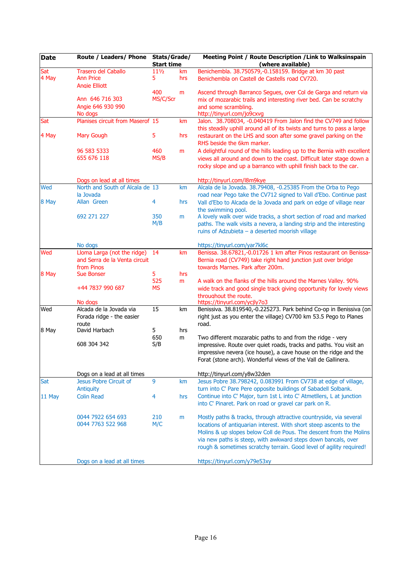| <b>Date</b> | Route / Leaders/ Phone Stats/Grade/ | <b>Start time</b> |     | Meeting Point / Route Description / Link to Walksinspain<br>(where available)                                                               |
|-------------|-------------------------------------|-------------------|-----|---------------------------------------------------------------------------------------------------------------------------------------------|
| Sat         | <b>Trasero del Caballo</b>          | $11\frac{1}{2}$   | km  | Benichembla. 38.750579,-0.158159. Bridge at km 30 past                                                                                      |
| 4 May       | <b>Ann Price</b>                    | 5                 | hrs | Benichembla on Castell de Castells road CV720.                                                                                              |
|             | <b>Angie Elliott</b>                |                   |     |                                                                                                                                             |
|             |                                     | 400               | m   | Ascend through Barranco Segues, over Col de Garga and return via                                                                            |
|             | Ann 646 716 303                     | MS/C/Scr          |     | mix of mozarabic trails and interesting river bed. Can be scratchy                                                                          |
|             | Angie 646 930 990                   |                   |     | and some scrambling.                                                                                                                        |
|             | No dogs                             |                   |     | http://tinyurl.com/jo9cxvg                                                                                                                  |
| Sat         | Planises circuit from Maserof 15    |                   | km  | Jalon. 38.708034, -0.040419 From Jalon find the CV749 and follow<br>this steadily uphill around all of its twists and turns to pass a large |
| 4 May       | <b>Mary Gough</b>                   | 5                 | hrs | restaurant on the LHS and soon after some gravel parking on the                                                                             |
|             |                                     |                   |     | RHS beside the 6km marker.                                                                                                                  |
|             | 96 583 5333                         | 460               | m   | A delightful round of the hills leading up to the Bernia with excellent                                                                     |
|             | 655 676 118                         | MS/B              |     | views all around and down to the coast. Difficult later stage down a                                                                        |
|             |                                     |                   |     | rocky slope and up a barranco with uphill finish back to the car.                                                                           |
|             | Dogs on lead at all times           |                   |     | http://tinyurl.com/l8m9kye                                                                                                                  |
| Wed         | North and South of Alcala de 13     |                   | km  | Alcala de la Jovada. 38.79408, -0.25385 From the Orba to Pego                                                                               |
|             | la Jovada                           |                   |     | road near Pego take the CV712 signed to Vall d'Ebo. Continue past                                                                           |
| 8 May       | Allan Green                         | 4                 | hrs | Vall d'Ebo to Alcada de la Jovada and park on edge of village near                                                                          |
|             |                                     |                   |     | the swimming pool.                                                                                                                          |
|             | 692 271 227                         | 350               | m   | A lovely walk over wide tracks, a short section of road and marked                                                                          |
|             |                                     | M/B               |     | paths. The walk visits a nevera, a landing strip and the interesting                                                                        |
|             |                                     |                   |     | ruins of Adzubieta - a deserted moorish village                                                                                             |
|             | No dogs                             |                   |     | https://tinyurl.com/yar7kl6c                                                                                                                |
| Wed         | Lloma Larga (not the ridge)         | 14                | km  | Benissa. 38.67821,-0.01726 1 km after Pinos restaurant on Benissa-                                                                          |
|             | and Serra de la Venta circuit       |                   |     | Bernia road (CV749) take right hand junction just over bridge                                                                               |
|             | from Pinos                          |                   |     | towards Marnes, Park after 200m.                                                                                                            |
| 8 May       | <b>Sue Bonser</b>                   | 5<br>525          | hrs |                                                                                                                                             |
|             | +44 7837 990 687                    | <b>MS</b>         | m   | A walk on the flanks of the hills around the Marnes Valley. 90%<br>wide track and good single track giving opportunity for lovely views     |
|             |                                     |                   |     | throughout the route.                                                                                                                       |
|             | No dogs                             |                   |     | https://tinyurl.com/ycjly7o3                                                                                                                |
| Wed         | Alcada de la Jovada via             | 15                | km  | Benissiva. 38.819540,-0.225273. Park behind Co-op in Benissiva (on                                                                          |
|             | Forada ridge - the easier           |                   |     | right just as you enter the village) CV700 km 53.5 Pego to Planes                                                                           |
|             | route                               |                   |     | road.                                                                                                                                       |
| 8 May       | David Harbach                       | 5                 | hrs |                                                                                                                                             |
|             |                                     | 650               | m   | Two different mozarabic paths to and from the ridge - very                                                                                  |
|             | 608 304 342                         | S/B               |     | impressive. Route over quiet roads, tracks and paths. You visit an                                                                          |
|             |                                     |                   |     | impressive nevera (ice house), a cave house on the ridge and the                                                                            |
|             |                                     |                   |     | Forat (stone arch). Wonderful views of the Vall de Gallinera.                                                                               |
|             | Dogs on a lead at all times         |                   |     | http://tinyurl.com/y8w32den                                                                                                                 |
| Sat         | Jesus Pobre Circuit of              | 9                 | km  | Jesus Pobre 38.798242, 0.083991 From CV738 at edge of village,                                                                              |
|             | Antiquity                           |                   |     | turn into C' Pare Pere opposite buildings of Sabadell Solbank.                                                                              |
| 11 May      | <b>Colin Read</b>                   | 4                 | hrs | Continue into C' Major, turn 1st L into C' Atmetllers, L at junction                                                                        |
|             |                                     |                   |     | into C' Pinaret. Park on road or gravel car park on R.                                                                                      |
|             | 0044 7922 654 693                   | 210               | m   | Mostly paths & tracks, through attractive countryside, via several                                                                          |
|             | 0044 7763 522 968                   | M/C               |     | locations of antiquarian interest. With short steep ascents to the                                                                          |
|             |                                     |                   |     | Molins & up slopes below Coll de Pous. The descent from the Molins                                                                          |
|             |                                     |                   |     | via new paths is steep, with awkward steps down bancals, over                                                                               |
|             |                                     |                   |     | rough & sometimes scratchy terrain. Good level of agility required!                                                                         |
|             | Dogs on a lead at all times         |                   |     | https://tinyurl.com/y79e53xy                                                                                                                |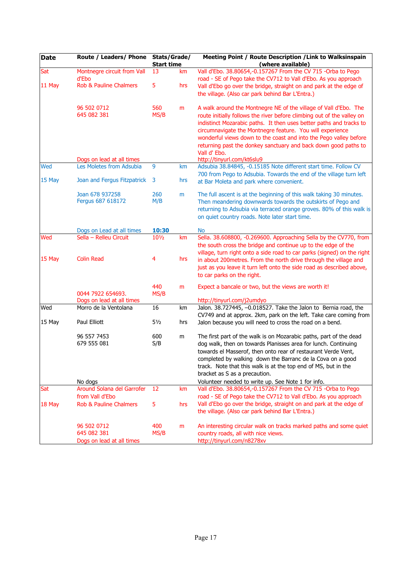| <b>Date</b> | Route / Leaders/ Phone            | Stats/Grade/<br><b>Start time</b> |     | Meeting Point / Route Description / Link to Walksinspain<br>(where available)                                                               |
|-------------|-----------------------------------|-----------------------------------|-----|---------------------------------------------------------------------------------------------------------------------------------------------|
| Sat         | Montnegre circuit from Vall       | 13                                | km  | Vall d'Ebo. 38.80654,-0.157267 From the CV 715 -Orba to Pego                                                                                |
|             | d'Ebo                             |                                   |     | road - SE of Pego take the CV712 to Vall d'Ebo. As you approach                                                                             |
| 11 May      | <b>Rob &amp; Pauline Chalmers</b> | 5                                 | hrs | Vall d'Ebo go over the bridge, straight on and park at the edge of                                                                          |
|             |                                   |                                   |     | the village. (Also car park behind Bar L'Entra.)                                                                                            |
|             | 96 502 0712                       | 560                               | m   | A walk around the Montnegre NE of the village of Vall d'Ebo. The                                                                            |
|             | 645 082 381                       | MS/B                              |     | route initially follows the river before climbing out of the valley on                                                                      |
|             |                                   |                                   |     | indistinct Mozarabic paths. It then uses better paths and tracks to                                                                         |
|             |                                   |                                   |     | circumnavigate the Montnegre feature. You will experience                                                                                   |
|             |                                   |                                   |     | wonderful views down to the coast and into the Pego valley before<br>returning past the donkey sanctuary and back down good paths to        |
|             |                                   |                                   |     | Vall d' Ebo.                                                                                                                                |
|             | Dogs on lead at all times         |                                   |     | http://tinyurl.com/kt6slu9                                                                                                                  |
| Wed         | Les Moletes from Adsubia          | 9                                 | km  | Adsubia 38.84845, -0.15185 Note different start time. Follow CV                                                                             |
| 15 May      | Joan and Fergus Fitzpatrick 3     |                                   |     | 700 from Pego to Adsubia. Towards the end of the village turn left                                                                          |
|             |                                   |                                   | hrs | at Bar Moleta and park where convenient.                                                                                                    |
|             | Joan 678 937258                   | 260                               | m   | The full ascent is at the beginning of this walk taking 30 minutes.                                                                         |
|             | Fergus 687 618172                 | M/B                               |     | Then meandering downwards towards the outskirts of Pego and                                                                                 |
|             |                                   |                                   |     | returning to Adsubia via terraced orange groves. 80% of this walk is                                                                        |
|             |                                   |                                   |     | on quiet country roads. Note later start time.                                                                                              |
|             | Dogs on Lead at all times         | 10:30                             |     | <b>No</b>                                                                                                                                   |
| Wed         | Sella - Relleu Circuit            | 10 <sub>2</sub>                   | km  | Sella. 38.608800, -0.269600. Approaching Sella by the CV770, from                                                                           |
|             |                                   |                                   |     | the south cross the bridge and continue up to the edge of the                                                                               |
| 15 May      | <b>Colin Read</b>                 | 4                                 | hrs | village, turn right onto a side road to car parks (signed) on the right<br>in about 200metres. From the north drive through the village and |
|             |                                   |                                   |     | just as you leave it turn left onto the side road as described above,                                                                       |
|             |                                   |                                   |     | to car parks on the right.                                                                                                                  |
|             |                                   | 440                               | m   | Expect a bancale or two, but the views are worth it!                                                                                        |
|             | 0044 7922 654693.                 | MS/B                              |     |                                                                                                                                             |
|             | Dogs on lead at all times         |                                   |     | http://tinyurl.com/j2umdyo                                                                                                                  |
| Wed         | Morro de la Ventolana             | 16                                | km  | Jalon. 38.727445, -0.018527. Take the Jalon to Bernia road, the                                                                             |
| 15 May      | Paul Elliott                      | $5\frac{1}{2}$                    | hrs | CV749 and at approx. 2km, park on the left. Take care coming from<br>Jalon because you will need to cross the road on a bend.               |
|             |                                   |                                   |     |                                                                                                                                             |
|             | 96 557 7453                       | 600                               | m   | The first part of the walk is on Mozarabic paths, part of the dead                                                                          |
|             | 679 555 081                       | S/B                               |     | dog walk, then on towards Planisses area for lunch. Continuing                                                                              |
|             |                                   |                                   |     | towards el Masserof, then onto rear of restaurant Verde Vent,                                                                               |
|             |                                   |                                   |     | completed by walking down the Barranc de la Cova on a good<br>track. Note that this walk is at the top end of MS, but in the                |
|             |                                   |                                   |     | bracket as S as a precaution.                                                                                                               |
|             | No dogs                           |                                   |     | Volunteer needed to write up. See Note 1 for info.                                                                                          |
| Sat         | Around Solana del Garrofer        | 12                                | km  | Vall d'Ebo. 38.80654,-0.157267 From the CV 715 -Orba to Pego                                                                                |
|             | from Vall d'Ebo                   |                                   |     | road - SE of Pego take the CV712 to Vall d'Ebo. As you approach                                                                             |
| 18 May      | <b>Rob &amp; Pauline Chalmers</b> | 5                                 | hrs | Vall d'Ebo go over the bridge, straight on and park at the edge of                                                                          |
|             |                                   |                                   |     | the village. (Also car park behind Bar L'Entra.)                                                                                            |
|             | 96 502 0712                       | 400                               | m   | An interesting circular walk on tracks marked paths and some quiet                                                                          |
|             | 645 082 381                       | MS/B                              |     | country roads, all with nice views.                                                                                                         |
|             | Dogs on lead at all times         |                                   |     | http://tinyurl.com/n8278xv                                                                                                                  |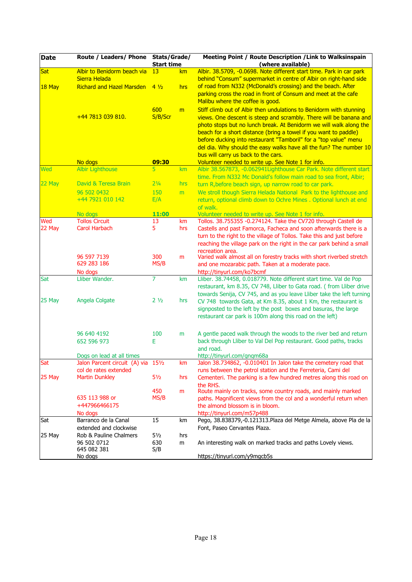| <b>Date</b> | Route / Leaders/ Phone                                       | Stats/Grade/<br><b>Start time</b> |           | Meeting Point / Route Description / Link to Walksinspain<br>(where available)                                                                                                                                                                                                                                                                                                                                                                                        |
|-------------|--------------------------------------------------------------|-----------------------------------|-----------|----------------------------------------------------------------------------------------------------------------------------------------------------------------------------------------------------------------------------------------------------------------------------------------------------------------------------------------------------------------------------------------------------------------------------------------------------------------------|
| Sat         | Albir to Benidorm beach via<br>Sierra Helada                 | 13                                | km        | Albir. 38.5709, -0.0698. Note different start time. Park in car park<br>behind "Consum" supermarket in centre of Albir on right-hand side                                                                                                                                                                                                                                                                                                                            |
| $18$ May    | <b>Richard and Hazel Marsden</b>                             | $4\frac{1}{2}$                    | hrs       | of road from N332 (McDonald's crossing) and the beach. After<br>parking cross the road in front of Consum and meet at the cafe<br>Malibu where the coffee is good.                                                                                                                                                                                                                                                                                                   |
|             | $+44$ 7813 039 810.                                          | 600<br>S/B/Scr                    | m         | Stiff climb out of Albir then undulations to Benidorm with stunning<br>views. One descent is steep and scrambly. There will be banana and<br>photo stops but no lunch break. At Benidorm we will walk along the<br>beach for a short distance (bring a towel if you want to paddle)<br>before ducking into restaurant "Tamboril" for a "top value" menu<br>del dia. Why should the easy walks have all the fun? The number 10<br>bus will carry us back to the cars. |
|             | No dogs                                                      | 09:30                             |           | Volunteer needed to write up. See Note 1 for info.                                                                                                                                                                                                                                                                                                                                                                                                                   |
| Wed         | <b>Albir Lighthouse</b>                                      | 5                                 | km        | Albir 38.567873, -0.062941Lighthouse Car Park. Note different start                                                                                                                                                                                                                                                                                                                                                                                                  |
|             |                                                              |                                   |           | time. From N332 Mc Donald's follow main road to sea front, Albir;                                                                                                                                                                                                                                                                                                                                                                                                    |
| $22$ May    | David & Teresa Brain                                         | $2\frac{1}{4}$                    | hrs       | turn R, before beach sign, up narrow road to car park.                                                                                                                                                                                                                                                                                                                                                                                                               |
|             | 96 502 0432                                                  | 150                               | m         | We stroll though Sierra Helada National Park to the lighthouse and                                                                                                                                                                                                                                                                                                                                                                                                   |
|             | +44 7921 010 142                                             | E/A                               |           | return, optional climb down to Ochre Mines . Optional lunch at end                                                                                                                                                                                                                                                                                                                                                                                                   |
|             |                                                              |                                   |           | of walk.                                                                                                                                                                                                                                                                                                                                                                                                                                                             |
| Wed         | No dogs<br><b>Tollos Circuit</b>                             | 11:00<br>13                       |           | Volunteer needed to write up. See Note 1 for info.<br>Tollos. 38.755355 -0.274124. Take the CV720 through Castell de                                                                                                                                                                                                                                                                                                                                                 |
| 22 May      | <b>Carol Harbach</b>                                         | 5                                 | km<br>hrs | Castells and past Famorca, Facheca and soon afterwards there is a                                                                                                                                                                                                                                                                                                                                                                                                    |
|             |                                                              |                                   |           | turn to the right to the village of Tollos. Take this and just before<br>reaching the village park on the right in the car park behind a small<br>recreation area.                                                                                                                                                                                                                                                                                                   |
|             | 96 597 7139<br>629 283 186<br>No dogs                        | 300<br>MS/B                       | m         | Varied walk almost all on forestry tracks with short riverbed stretch<br>and one mozarabic path. Taken at a moderate pace.<br>http://tinyurl.com/ko7bcmf                                                                                                                                                                                                                                                                                                             |
| Sat         | Lliber Wander.                                               | $\overline{7}$                    | km        | Lliber. 38.74458, 0.018779. Note different start time. Val de Pop                                                                                                                                                                                                                                                                                                                                                                                                    |
|             |                                                              |                                   |           | restaurant, km 8.35, CV 748, Lliber to Gata road. (from Lliber drive<br>towards Senija, CV 745, and as you leave Lliber take the left turning                                                                                                                                                                                                                                                                                                                        |
| 25 May      | Angela Colgate                                               | 2 <sub>1/2</sub>                  | hrs       | CV 748 towards Gata, at Km 8.35, about 1 Km, the restaurant is<br>signposted to the left by the post boxes and basuras, the large<br>restaurant car park is 100m along this road on the left)                                                                                                                                                                                                                                                                        |
|             | 96 640 4192                                                  | 100                               | m         | A gentle paced walk through the woods to the river bed and return                                                                                                                                                                                                                                                                                                                                                                                                    |
|             | 652 596 973                                                  | E                                 |           | back through Lliber to Val Del Pop restaurant. Good paths, tracks<br>and road.                                                                                                                                                                                                                                                                                                                                                                                       |
|             | Dogs on lead at all times                                    |                                   |           | http://tinyurl.com/gnqm68a                                                                                                                                                                                                                                                                                                                                                                                                                                           |
| <b>Sat</b>  | Jalon Parcent circuit (A) via 151/2<br>col de rates extended |                                   | <b>km</b> | Jalon 38.734862, -0.010401 In Jalon take the cemetery road that<br>runs between the petrol station and the Ferreteria, Cami del                                                                                                                                                                                                                                                                                                                                      |
| 25 May      | <b>Martin Dunkley</b>                                        | $5\frac{1}{2}$                    | hrs       | Cementeri. The parking is a few hundred metres along this road on                                                                                                                                                                                                                                                                                                                                                                                                    |
|             |                                                              | 450                               | m         | the RHS.<br>Route mainly on tracks, some country roads, and mainly marked                                                                                                                                                                                                                                                                                                                                                                                            |
|             | 635 113 988 or                                               | MS/B                              |           | paths. Magnificent views from the col and a wonderful return when                                                                                                                                                                                                                                                                                                                                                                                                    |
|             | +447966466175                                                |                                   |           | the almond blossom is in bloom.                                                                                                                                                                                                                                                                                                                                                                                                                                      |
|             | No dogs                                                      |                                   |           | http://tinyurl.com/m57p488                                                                                                                                                                                                                                                                                                                                                                                                                                           |
| Sat         | Barranco de la Canal<br>extended and clockwise               | 15                                | km        | Pego, 38.838379,-0.121313. Plaza del Metge Almela, above Pla de la<br>Font, Paseo Cervantes Plaza.                                                                                                                                                                                                                                                                                                                                                                   |
| 25 May      | Rob & Pauline Chalmers<br>96 502 0712<br>645 082 381         | $5\frac{1}{2}$<br>630<br>S/B      | hrs<br>m  | An interesting walk on marked tracks and paths Lovely views.                                                                                                                                                                                                                                                                                                                                                                                                         |
|             | No dogs                                                      |                                   |           | https://tinyurl.com/y9mgcb5s                                                                                                                                                                                                                                                                                                                                                                                                                                         |